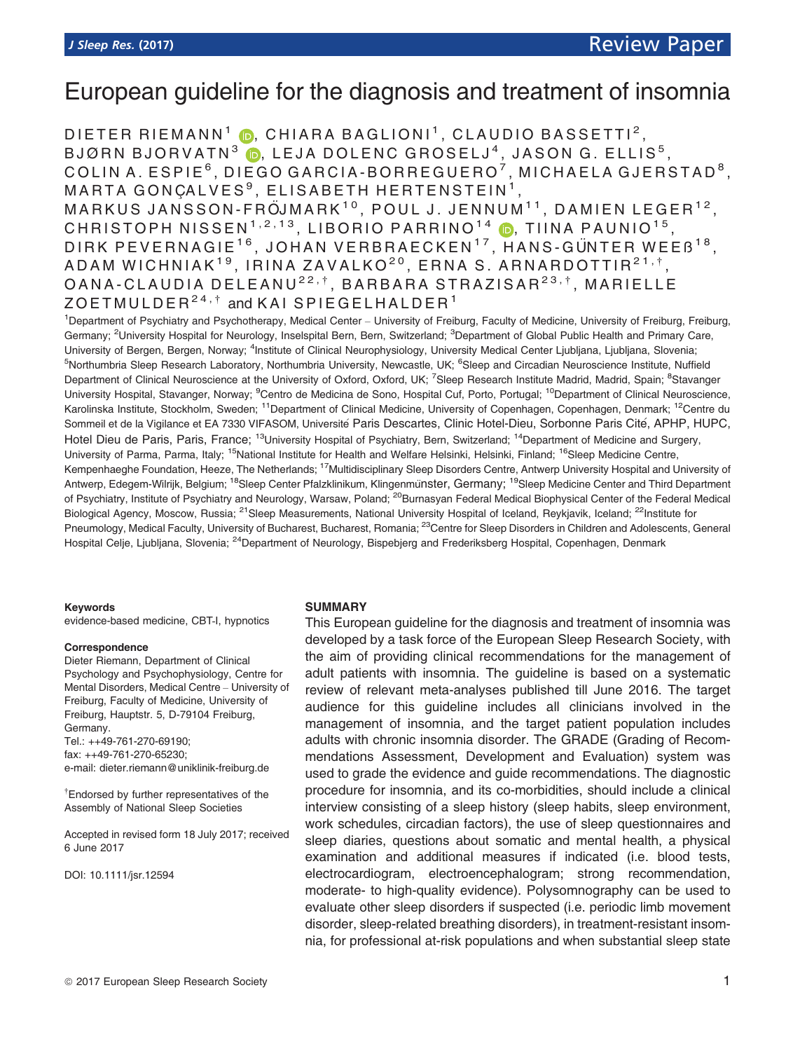# European guideline for the diagnosis and treatment of insomnia

DIETER RIEMANN<sup>1</sup> **D**, CHIARA BAGLIONI<sup>1</sup>, CLAUDIO BASSETTI<sup>2</sup>, BJØRN BJORVATN $3$   $\bullet$ , LEJA DOLENC GROSELJ<sup>4</sup>, JASON G. ELLIS<sup>5</sup>, COLIN A. ESPIE<sup>6</sup>, DIEGO GARCIA-BORREGUERO<sup>7</sup>, MICHAELA GJERSTAD<sup>8</sup>, MARTA GONCALVES<sup>9</sup>, ELISABETH HERTENSTEIN<sup>1</sup> MARKUS JANSSON-FRÖJMARK $^{10}$ . POUL J. JENNUM $^{11}$ . DAMIEN LEGER $^{12}$ . CHRISTOPH NISSEN<sup>1,2,13</sup>, LIBORIO PARRINO<sup>14</sup> D, TIINA PAUNIO<sup>15</sup>, DIRK PEVERNAGIE<sup>16</sup>, JOHAN VERBRAECKEN<sup>17</sup>, HANS-GÜNTER WEEB<sup>18</sup>, ADAM WICHNIAK<sup>19</sup>, IRINA ZAVALKO<sup>20</sup>, ERNA S. ARNARDOTTIR<sup>21,†</sup>, OANA-CLAUDIA DELEANU<sup>22,†</sup>, BARBARA STRAZISAR<sup>23,†</sup>, MARIELLE  $ZOETMULDER<sup>24,†</sup>$  and KAI SPIEGELHALDER<sup>1</sup>

<sup>1</sup>Department of Psychiatry and Psychotherapy, Medical Center - University of Freiburg, Faculty of Medicine, University of Freiburg, Freiburg, Germany; <sup>2</sup>University Hospital for Neurology, Inselspital Bern, Bern, Switzerland; <sup>3</sup>Department of Global Public Health and Primary Care, University of Bergen, Bergen, Norway; <sup>4</sup>Institute of Clinical Neurophysiology, University Medical Center Ljubljana, Ljubljana, Slovenia; <sup>5</sup>Northumbria Sleep Research Laboratory, Northumbria University, Newcastle, UK; <sup>6</sup>Sleep and Circadian Neuroscience Institute, Nuffield Department of Clinical Neuroscience at the University of Oxford, Oxford, UK; <sup>7</sup>Sleep Research Institute Madrid, Madrid, Spain; <sup>8</sup>Stavanger University Hospital, Stavanger, Norway; <sup>9</sup>Centro de Medicina de Sono, Hospital Cuf, Porto, Portugal; <sup>10</sup>Department of Clinical Neuroscience, Karolinska Institute, Stockholm, Sweden; <sup>11</sup>Department of Clinical Medicine, University of Copenhagen, Copenhagen, Denmark; <sup>12</sup>Centre du Sommeil et de la Vigilance et EA 7330 VIFASOM, Université Paris Descartes, Clinic Hotel-Dieu, Sorbonne Paris Cité, APHP, HUPC, Hotel Dieu de Paris, Paris, France; <sup>13</sup>University Hospital of Psychiatry, Bern, Switzerland; <sup>14</sup>Department of Medicine and Surgery, University of Parma, Parma, Italy; <sup>15</sup>National Institute for Health and Welfare Helsinki, Helsinki, Finland; <sup>16</sup>Sleep Medicine Centre, Kempenhaeghe Foundation, Heeze, The Netherlands; <sup>17</sup>Multidisciplinary Sleep Disorders Centre, Antwerp University Hospital and University of Antwerp, Edegem-Wilrijk, Belgium; <sup>18</sup>Sleep Center Pfalzklinikum, Klingenmünster, Germany; <sup>19</sup>Sleep Medicine Center and Third Department of Psychiatry, Institute of Psychiatry and Neurology, Warsaw, Poland; <sup>20</sup>Burnasyan Federal Medical Biophysical Center of the Federal Medical Biological Agency, Moscow, Russia; <sup>21</sup>Sleep Measurements, National University Hospital of Iceland, Reykjavik, Iceland; <sup>22</sup>Institute for Pneumology, Medical Faculty, University of Bucharest, Bucharest, Romania; <sup>23</sup>Centre for Sleep Disorders in Children and Adolescents, General Hospital Celje, Ljubljana, Slovenia; <sup>24</sup>Department of Neurology, Bispebjerg and Frederiksberg Hospital, Copenhagen, Denmark

#### Keywords

evidence-based medicine, CBT-I, hypnotics

#### Correspondence

Dieter Riemann, Department of Clinical Psychology and Psychophysiology, Centre for Mental Disorders, Medical Centre – University of Freiburg, Faculty of Medicine, University of Freiburg, Hauptstr. 5, D-79104 Freiburg, Germany. Tel.: ++49-761-270-69190;

fax: ++49-761-270-65230; e-mail: dieter.riemann@uniklinik-freiburg.de

† Endorsed by further representatives of the Assembly of National Sleep Societies

Accepted in revised form 18 July 2017; received 6 June 2017

DOI: 10.1111/jsr.12594

#### SUMMARY

This European guideline for the diagnosis and treatment of insomnia was developed by a task force of the European Sleep Research Society, with the aim of providing clinical recommendations for the management of adult patients with insomnia. The guideline is based on a systematic review of relevant meta-analyses published till June 2016. The target audience for this guideline includes all clinicians involved in the management of insomnia, and the target patient population includes adults with chronic insomnia disorder. The GRADE (Grading of Recommendations Assessment, Development and Evaluation) system was used to grade the evidence and guide recommendations. The diagnostic procedure for insomnia, and its co-morbidities, should include a clinical interview consisting of a sleep history (sleep habits, sleep environment, work schedules, circadian factors), the use of sleep questionnaires and sleep diaries, questions about somatic and mental health, a physical examination and additional measures if indicated (i.e. blood tests, electrocardiogram, electroencephalogram; strong recommendation, moderate- to high-quality evidence). Polysomnography can be used to evaluate other sleep disorders if suspected (i.e. periodic limb movement disorder, sleep-related breathing disorders), in treatment-resistant insomnia, for professional at-risk populations and when substantial sleep state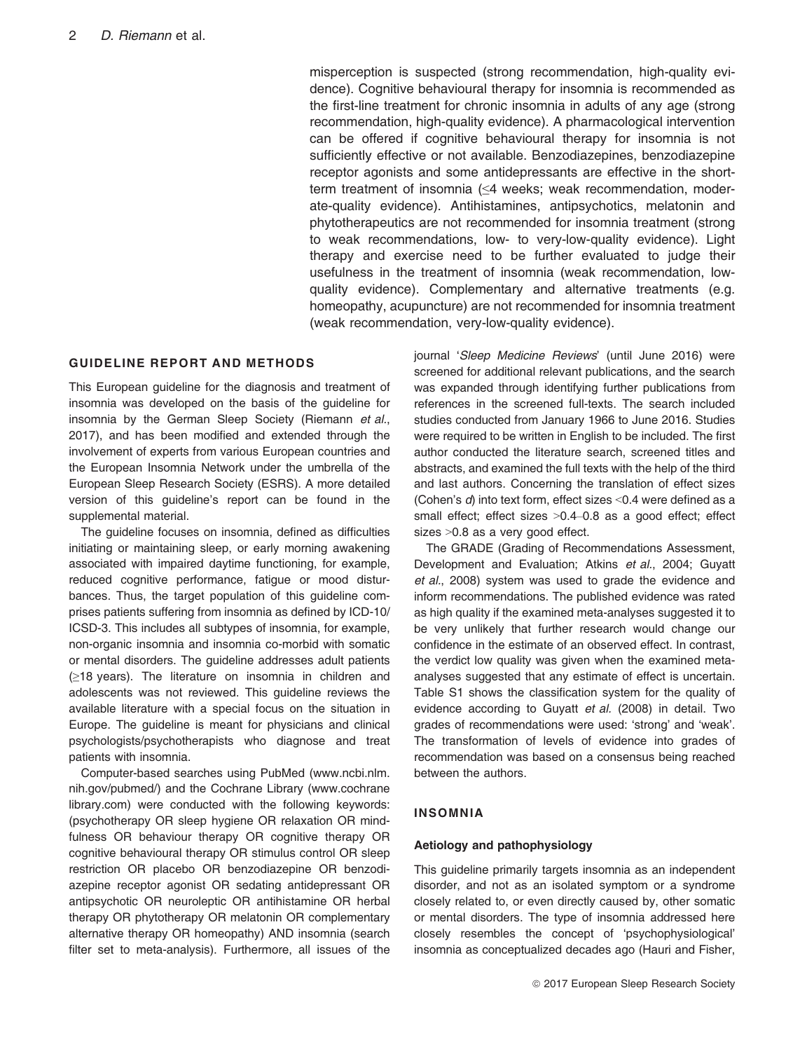misperception is suspected (strong recommendation, high-quality evidence). Cognitive behavioural therapy for insomnia is recommended as the first-line treatment for chronic insomnia in adults of any age (strong recommendation, high-quality evidence). A pharmacological intervention can be offered if cognitive behavioural therapy for insomnia is not sufficiently effective or not available. Benzodiazepines, benzodiazepine receptor agonists and some antidepressants are effective in the shortterm treatment of insomnia (≤4 weeks; weak recommendation, moderate-quality evidence). Antihistamines, antipsychotics, melatonin and phytotherapeutics are not recommended for insomnia treatment (strong to weak recommendations, low- to very-low-quality evidence). Light therapy and exercise need to be further evaluated to judge their usefulness in the treatment of insomnia (weak recommendation, lowquality evidence). Complementary and alternative treatments (e.g. homeopathy, acupuncture) are not recommended for insomnia treatment (weak recommendation, very-low-quality evidence).

# GUIDELINE REPORT AND METHODS

This European guideline for the diagnosis and treatment of insomnia was developed on the basis of the guideline for insomnia by the German Sleep Society (Riemann et al., 2017), and has been modified and extended through the involvement of experts from various European countries and the European Insomnia Network under the umbrella of the European Sleep Research Society (ESRS). A more detailed version of this guideline's report can be found in the supplemental material.

The guideline focuses on insomnia, defined as difficulties initiating or maintaining sleep, or early morning awakening associated with impaired daytime functioning, for example, reduced cognitive performance, fatigue or mood disturbances. Thus, the target population of this guideline comprises patients suffering from insomnia as defined by ICD-10/ ICSD-3. This includes all subtypes of insomnia, for example, non-organic insomnia and insomnia co-morbid with somatic or mental disorders. The guideline addresses adult patients (≥18 years). The literature on insomnia in children and adolescents was not reviewed. This guideline reviews the available literature with a special focus on the situation in Europe. The guideline is meant for physicians and clinical psychologists/psychotherapists who diagnose and treat patients with insomnia.

Computer-based searches using PubMed [\(www.ncbi.nlm.](http://www.ncbi.nlm.nih.gov/pubmed/) [nih.gov/pubmed/\)](http://www.ncbi.nlm.nih.gov/pubmed/) and the Cochrane Library [\(www.cochrane](http://www.cochranelibrary.com) [library.com\)](http://www.cochranelibrary.com) were conducted with the following keywords: (psychotherapy OR sleep hygiene OR relaxation OR mindfulness OR behaviour therapy OR cognitive therapy OR cognitive behavioural therapy OR stimulus control OR sleep restriction OR placebo OR benzodiazepine OR benzodiazepine receptor agonist OR sedating antidepressant OR antipsychotic OR neuroleptic OR antihistamine OR herbal therapy OR phytotherapy OR melatonin OR complementary alternative therapy OR homeopathy) AND insomnia (search filter set to meta-analysis). Furthermore, all issues of the

journal 'Sleep Medicine Reviews' (until June 2016) were screened for additional relevant publications, and the search was expanded through identifying further publications from references in the screened full-texts. The search included studies conducted from January 1966 to June 2016. Studies were required to be written in English to be included. The first author conducted the literature search, screened titles and abstracts, and examined the full texts with the help of the third and last authors. Concerning the translation of effect sizes (Cohen's d) into text form, effect sizes <0.4 were defined as a small effect; effect sizes >0.4-0.8 as a good effect; effect sizes >0.8 as a very good effect.

The GRADE (Grading of Recommendations Assessment, Development and Evaluation; Atkins et al., 2004; Guyatt et al., 2008) system was used to grade the evidence and inform recommendations. The published evidence was rated as high quality if the examined meta-analyses suggested it to be very unlikely that further research would change our confidence in the estimate of an observed effect. In contrast, the verdict low quality was given when the examined metaanalyses suggested that any estimate of effect is uncertain. Table S1 shows the classification system for the quality of evidence according to Guyatt et al. (2008) in detail. Two grades of recommendations were used: 'strong' and 'weak'. The transformation of levels of evidence into grades of recommendation was based on a consensus being reached between the authors.

#### INSOMNIA

#### Aetiology and pathophysiology

This guideline primarily targets insomnia as an independent disorder, and not as an isolated symptom or a syndrome closely related to, or even directly caused by, other somatic or mental disorders. The type of insomnia addressed here closely resembles the concept of 'psychophysiological' insomnia as conceptualized decades ago (Hauri and Fisher,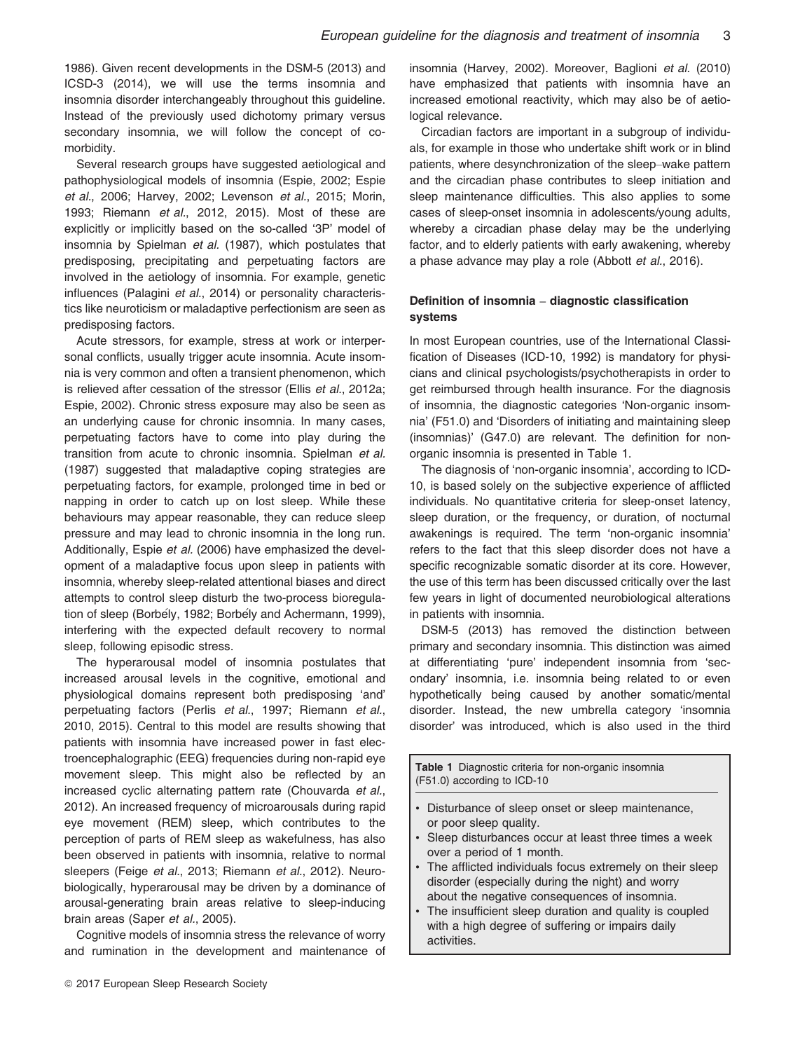1986). Given recent developments in the DSM-5 (2013) and ICSD-3 (2014), we will use the terms insomnia and insomnia disorder interchangeably throughout this guideline. Instead of the previously used dichotomy primary versus secondary insomnia, we will follow the concept of comorbidity.

Several research groups have suggested aetiological and pathophysiological models of insomnia (Espie, 2002; Espie et al., 2006; Harvey, 2002; Levenson et al., 2015; Morin, 1993; Riemann et al., 2012, 2015). Most of these are explicitly or implicitly based on the so-called '3P' model of insomnia by Spielman et al. (1987), which postulates that predisposing, precipitating and perpetuating factors are involved in the aetiology of insomnia. For example, genetic influences (Palagini et al., 2014) or personality characteristics like neuroticism or maladaptive perfectionism are seen as predisposing factors.

Acute stressors, for example, stress at work or interpersonal conflicts, usually trigger acute insomnia. Acute insomnia is very common and often a transient phenomenon, which is relieved after cessation of the stressor (Ellis et al., 2012a; Espie, 2002). Chronic stress exposure may also be seen as an underlying cause for chronic insomnia. In many cases, perpetuating factors have to come into play during the transition from acute to chronic insomnia. Spielman et al. (1987) suggested that maladaptive coping strategies are perpetuating factors, for example, prolonged time in bed or napping in order to catch up on lost sleep. While these behaviours may appear reasonable, they can reduce sleep pressure and may lead to chronic insomnia in the long run. Additionally, Espie et al. (2006) have emphasized the development of a maladaptive focus upon sleep in patients with insomnia, whereby sleep-related attentional biases and direct attempts to control sleep disturb the two-process bioregulation of sleep (Borbély, 1982; Borbély and Achermann, 1999), interfering with the expected default recovery to normal sleep, following episodic stress.

The hyperarousal model of insomnia postulates that increased arousal levels in the cognitive, emotional and physiological domains represent both predisposing 'and' perpetuating factors (Perlis et al., 1997; Riemann et al., 2010, 2015). Central to this model are results showing that patients with insomnia have increased power in fast electroencephalographic (EEG) frequencies during non-rapid eye movement sleep. This might also be reflected by an increased cyclic alternating pattern rate (Chouvarda et al., 2012). An increased frequency of microarousals during rapid eye movement (REM) sleep, which contributes to the perception of parts of REM sleep as wakefulness, has also been observed in patients with insomnia, relative to normal sleepers (Feige et al., 2013; Riemann et al., 2012). Neurobiologically, hyperarousal may be driven by a dominance of arousal-generating brain areas relative to sleep-inducing brain areas (Saper et al., 2005).

Cognitive models of insomnia stress the relevance of worry and rumination in the development and maintenance of insomnia (Harvey, 2002). Moreover, Baglioni et al. (2010) have emphasized that patients with insomnia have an increased emotional reactivity, which may also be of aetiological relevance.

Circadian factors are important in a subgroup of individuals, for example in those who undertake shift work or in blind patients, where desynchronization of the sleep–wake pattern and the circadian phase contributes to sleep initiation and sleep maintenance difficulties. This also applies to some cases of sleep-onset insomnia in adolescents/young adults, whereby a circadian phase delay may be the underlying factor, and to elderly patients with early awakening, whereby a phase advance may play a role (Abbott et al., 2016).

# Definition of insomnia – diagnostic classification systems

In most European countries, use of the International Classification of Diseases (ICD-10, 1992) is mandatory for physicians and clinical psychologists/psychotherapists in order to get reimbursed through health insurance. For the diagnosis of insomnia, the diagnostic categories 'Non-organic insomnia' (F51.0) and 'Disorders of initiating and maintaining sleep (insomnias)' (G47.0) are relevant. The definition for nonorganic insomnia is presented in Table 1.

The diagnosis of 'non-organic insomnia', according to ICD-10, is based solely on the subjective experience of afflicted individuals. No quantitative criteria for sleep-onset latency, sleep duration, or the frequency, or duration, of nocturnal awakenings is required. The term 'non-organic insomnia' refers to the fact that this sleep disorder does not have a specific recognizable somatic disorder at its core. However, the use of this term has been discussed critically over the last few years in light of documented neurobiological alterations in patients with insomnia.

DSM-5 (2013) has removed the distinction between primary and secondary insomnia. This distinction was aimed at differentiating 'pure' independent insomnia from 'secondary' insomnia, i.e. insomnia being related to or even hypothetically being caused by another somatic/mental disorder. Instead, the new umbrella category 'insomnia disorder' was introduced, which is also used in the third

Table 1 Diagnostic criteria for non-organic insomnia (F51.0) according to ICD-10

- Disturbance of sleep onset or sleep maintenance, or poor sleep quality.
- Sleep disturbances occur at least three times a week over a period of 1 month.
- The afflicted individuals focus extremely on their sleep disorder (especially during the night) and worry about the negative consequences of insomnia.
- The insufficient sleep duration and quality is coupled with a high degree of suffering or impairs daily activities.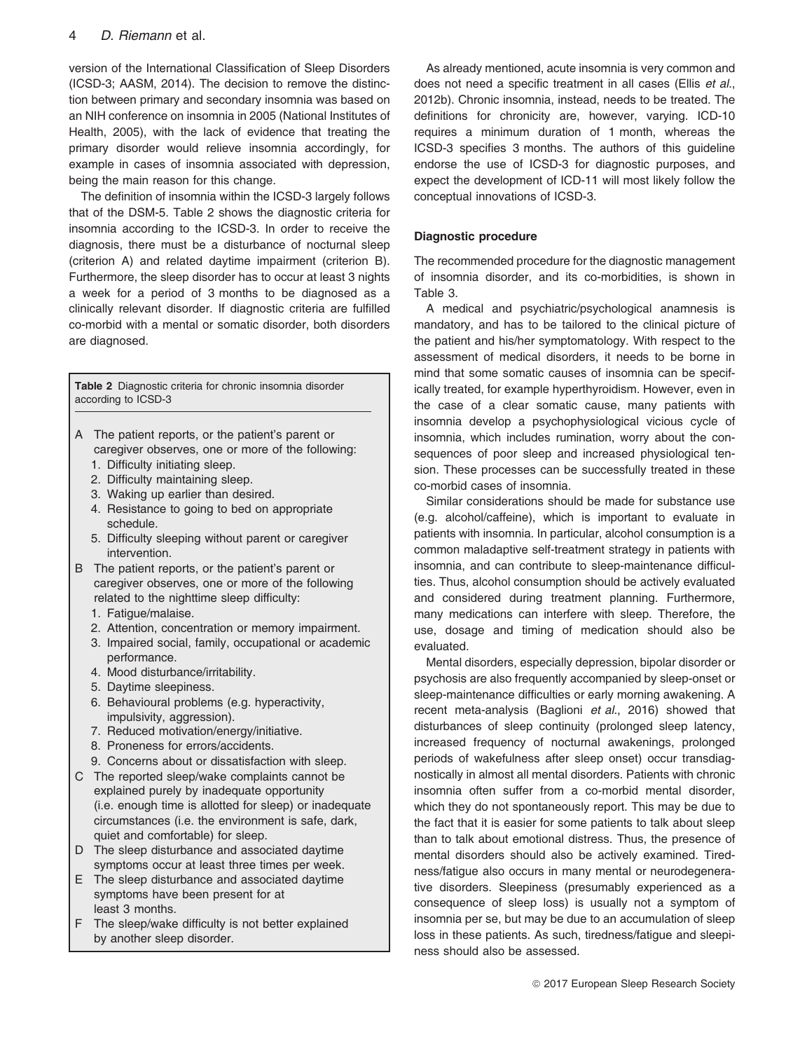version of the International Classification of Sleep Disorders (ICSD-3; AASM, 2014). The decision to remove the distinction between primary and secondary insomnia was based on an NIH conference on insomnia in 2005 (National Institutes of Health, 2005), with the lack of evidence that treating the primary disorder would relieve insomnia accordingly, for example in cases of insomnia associated with depression, being the main reason for this change.

The definition of insomnia within the ICSD-3 largely follows that of the DSM-5. Table 2 shows the diagnostic criteria for insomnia according to the ICSD-3. In order to receive the diagnosis, there must be a disturbance of nocturnal sleep (criterion A) and related daytime impairment (criterion B). Furthermore, the sleep disorder has to occur at least 3 nights a week for a period of 3 months to be diagnosed as a clinically relevant disorder. If diagnostic criteria are fulfilled co-morbid with a mental or somatic disorder, both disorders are diagnosed.

Table 2 Diagnostic criteria for chronic insomnia disorder according to ICSD-3

- A The patient reports, or the patient's parent or caregiver observes, one or more of the following:
	- 1. Difficulty initiating sleep.
	- 2. Difficulty maintaining sleep.
	- 3. Waking up earlier than desired.
	- 4. Resistance to going to bed on appropriate schedule.
	- 5. Difficulty sleeping without parent or caregiver intervention.
- B The patient reports, or the patient's parent or caregiver observes, one or more of the following related to the nighttime sleep difficulty:
	- 1. Fatigue/malaise.
	- 2. Attention, concentration or memory impairment.
	- 3. Impaired social, family, occupational or academic performance.
	- 4. Mood disturbance/irritability.
	- 5. Daytime sleepiness.
	- 6. Behavioural problems (e.g. hyperactivity, impulsivity, aggression).
	- 7. Reduced motivation/energy/initiative.
	- 8. Proneness for errors/accidents.
	- 9. Concerns about or dissatisfaction with sleep.
- C The reported sleep/wake complaints cannot be explained purely by inadequate opportunity (i.e. enough time is allotted for sleep) or inadequate circumstances (i.e. the environment is safe, dark, quiet and comfortable) for sleep.
- D The sleep disturbance and associated daytime symptoms occur at least three times per week.
- E The sleep disturbance and associated daytime symptoms have been present for at least 3 months.
- F The sleep/wake difficulty is not better explained by another sleep disorder.

As already mentioned, acute insomnia is very common and does not need a specific treatment in all cases (Ellis et al., 2012b). Chronic insomnia, instead, needs to be treated. The definitions for chronicity are, however, varying. ICD-10 requires a minimum duration of 1 month, whereas the ICSD-3 specifies 3 months. The authors of this guideline endorse the use of ICSD-3 for diagnostic purposes, and expect the development of ICD-11 will most likely follow the conceptual innovations of ICSD-3.

# Diagnostic procedure

The recommended procedure for the diagnostic management of insomnia disorder, and its co-morbidities, is shown in Table 3.

A medical and psychiatric/psychological anamnesis is mandatory, and has to be tailored to the clinical picture of the patient and his/her symptomatology. With respect to the assessment of medical disorders, it needs to be borne in mind that some somatic causes of insomnia can be specifically treated, for example hyperthyroidism. However, even in the case of a clear somatic cause, many patients with insomnia develop a psychophysiological vicious cycle of insomnia, which includes rumination, worry about the consequences of poor sleep and increased physiological tension. These processes can be successfully treated in these co-morbid cases of insomnia.

Similar considerations should be made for substance use (e.g. alcohol/caffeine), which is important to evaluate in patients with insomnia. In particular, alcohol consumption is a common maladaptive self-treatment strategy in patients with insomnia, and can contribute to sleep-maintenance difficulties. Thus, alcohol consumption should be actively evaluated and considered during treatment planning. Furthermore, many medications can interfere with sleep. Therefore, the use, dosage and timing of medication should also be evaluated.

Mental disorders, especially depression, bipolar disorder or psychosis are also frequently accompanied by sleep-onset or sleep-maintenance difficulties or early morning awakening. A recent meta-analysis (Baglioni et al., 2016) showed that disturbances of sleep continuity (prolonged sleep latency, increased frequency of nocturnal awakenings, prolonged periods of wakefulness after sleep onset) occur transdiagnostically in almost all mental disorders. Patients with chronic insomnia often suffer from a co-morbid mental disorder, which they do not spontaneously report. This may be due to the fact that it is easier for some patients to talk about sleep than to talk about emotional distress. Thus, the presence of mental disorders should also be actively examined. Tiredness/fatigue also occurs in many mental or neurodegenerative disorders. Sleepiness (presumably experienced as a consequence of sleep loss) is usually not a symptom of insomnia per se, but may be due to an accumulation of sleep loss in these patients. As such, tiredness/fatigue and sleepiness should also be assessed.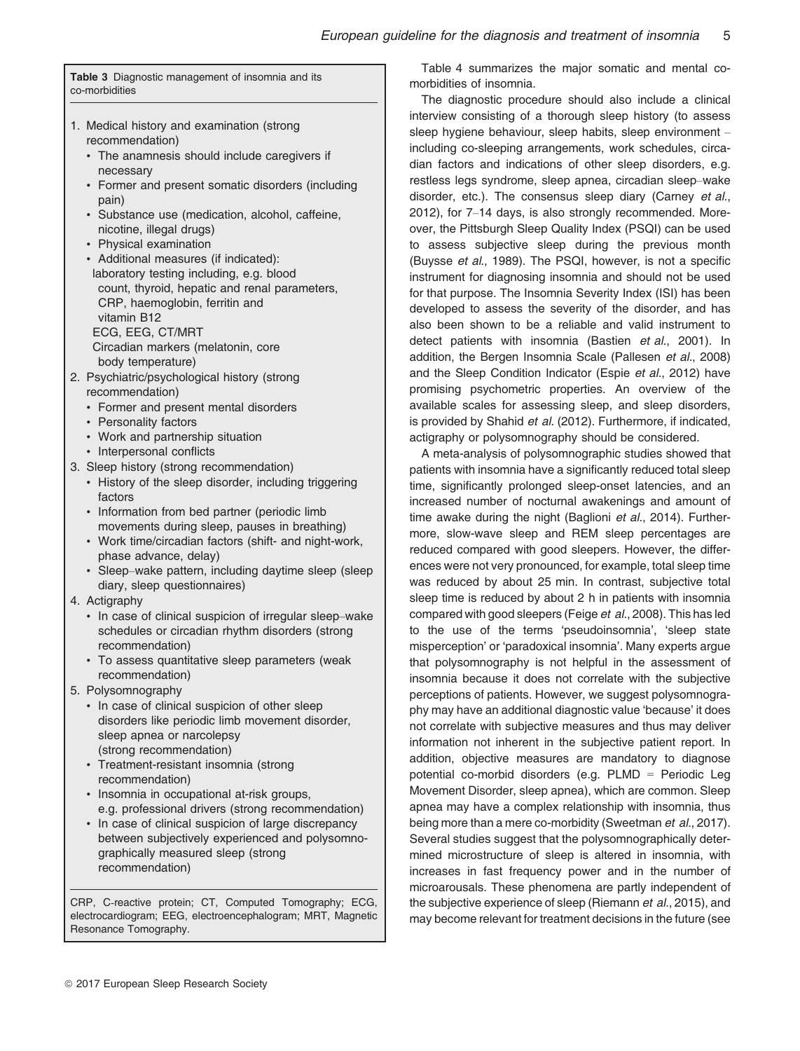Table 3 Diagnostic management of insomnia and its co-morbidities

- 1. Medical history and examination (strong recommendation)
	- The anamnesis should include caregivers if necessary
	- Former and present somatic disorders (including pain)
	- Substance use (medication, alcohol, caffeine, nicotine, illegal drugs)
	- Physical examination
	- Additional measures (if indicated): laboratory testing including, e.g. blood count, thyroid, hepatic and renal parameters, CRP, haemoglobin, ferritin and vitamin B12 ECG, EEG, CT/MRT Circadian markers (melatonin, core body temperature)
- 2. Psychiatric/psychological history (strong recommendation)
	- Former and present mental disorders
	- Personality factors
	- Work and partnership situation
	- Interpersonal conflicts
- 3. Sleep history (strong recommendation)
	- History of the sleep disorder, including triggering factors
	- Information from bed partner (periodic limb movements during sleep, pauses in breathing)
	- Work time/circadian factors (shift- and night-work, phase advance, delay)
	- Sleep–wake pattern, including daytime sleep (sleep diary, sleep questionnaires)
- 4. Actigraphy
	- In case of clinical suspicion of irregular sleep–wake schedules or circadian rhythm disorders (strong recommendation)
	- To assess quantitative sleep parameters (weak recommendation)
- 5. Polysomnography
	- In case of clinical suspicion of other sleep disorders like periodic limb movement disorder, sleep apnea or narcolepsy (strong recommendation)
	- Treatment-resistant insomnia (strong recommendation)
	- Insomnia in occupational at-risk groups, e.g. professional drivers (strong recommendation)
	- In case of clinical suspicion of large discrepancy between subjectively experienced and polysomnographically measured sleep (strong recommendation)

CRP, C-reactive protein; CT, Computed Tomography; ECG, electrocardiogram; EEG, electroencephalogram; MRT, Magnetic Resonance Tomography.

Table 4 summarizes the major somatic and mental comorbidities of insomnia.

The diagnostic procedure should also include a clinical interview consisting of a thorough sleep history (to assess sleep hygiene behaviour, sleep habits, sleep environment – including co-sleeping arrangements, work schedules, circadian factors and indications of other sleep disorders, e.g. restless legs syndrome, sleep apnea, circadian sleep–wake disorder, etc.). The consensus sleep diary (Carney et al., 2012), for 7–14 days, is also strongly recommended. Moreover, the Pittsburgh Sleep Quality Index (PSQI) can be used to assess subjective sleep during the previous month (Buysse et al., 1989). The PSQI, however, is not a specific instrument for diagnosing insomnia and should not be used for that purpose. The Insomnia Severity Index (ISI) has been developed to assess the severity of the disorder, and has also been shown to be a reliable and valid instrument to detect patients with insomnia (Bastien et al., 2001). In addition, the Bergen Insomnia Scale (Pallesen et al., 2008) and the Sleep Condition Indicator (Espie et al., 2012) have promising psychometric properties. An overview of the available scales for assessing sleep, and sleep disorders, is provided by Shahid et al. (2012). Furthermore, if indicated, actigraphy or polysomnography should be considered.

A meta-analysis of polysomnographic studies showed that patients with insomnia have a significantly reduced total sleep time, significantly prolonged sleep-onset latencies, and an increased number of nocturnal awakenings and amount of time awake during the night (Baglioni et al., 2014). Furthermore, slow-wave sleep and REM sleep percentages are reduced compared with good sleepers. However, the differences were not very pronounced, for example, total sleep time was reduced by about 25 min. In contrast, subjective total sleep time is reduced by about 2 h in patients with insomnia compared with good sleepers (Feige et al., 2008). This has led to the use of the terms 'pseudoinsomnia', 'sleep state misperception' or 'paradoxical insomnia'. Many experts argue that polysomnography is not helpful in the assessment of insomnia because it does not correlate with the subjective perceptions of patients. However, we suggest polysomnography may have an additional diagnostic value 'because' it does not correlate with subjective measures and thus may deliver information not inherent in the subjective patient report. In addition, objective measures are mandatory to diagnose potential co-morbid disorders (e.g. PLMD = Periodic Leg Movement Disorder, sleep apnea), which are common. Sleep apnea may have a complex relationship with insomnia, thus being more than a mere co-morbidity (Sweetman et al., 2017). Several studies suggest that the polysomnographically determined microstructure of sleep is altered in insomnia, with increases in fast frequency power and in the number of microarousals. These phenomena are partly independent of the subjective experience of sleep (Riemann et al., 2015), and may become relevant for treatment decisions in the future (see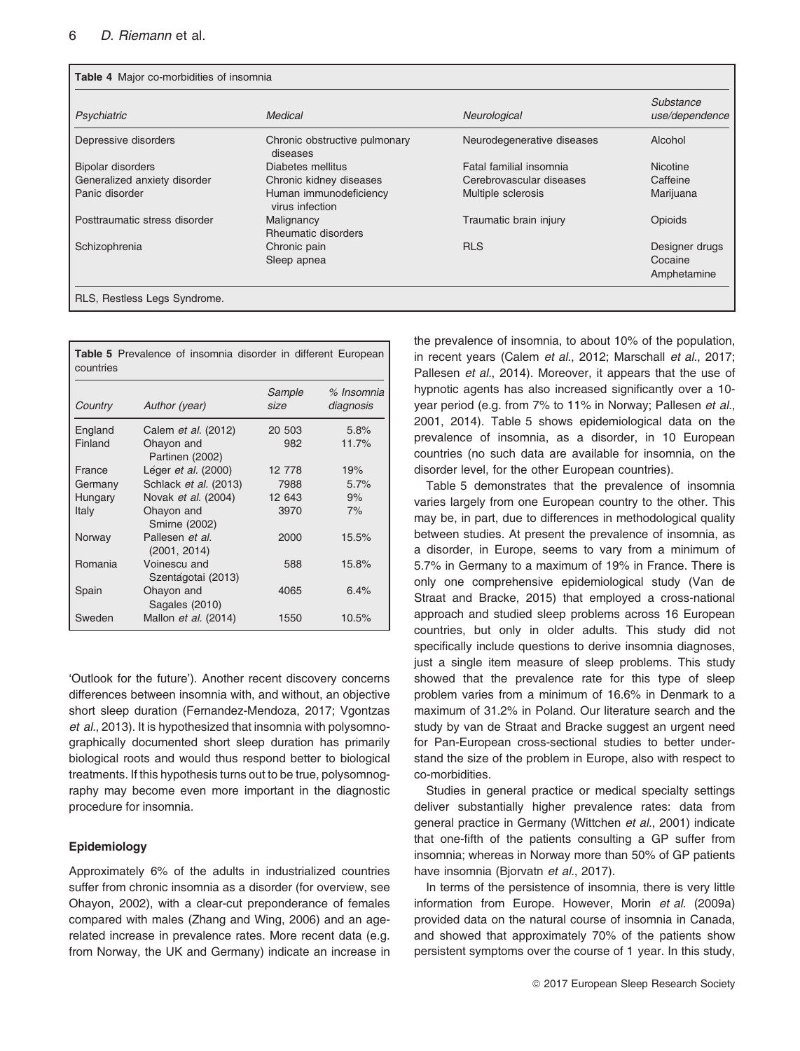|                               | Medical                                   |                            | Substance       |
|-------------------------------|-------------------------------------------|----------------------------|-----------------|
| Psychiatric                   |                                           | Neurological               | use/dependence  |
| Depressive disorders          | Chronic obstructive pulmonary<br>diseases | Neurodegenerative diseases | Alcohol         |
| <b>Bipolar disorders</b>      | Diabetes mellitus                         | Fatal familial insomnia    | <b>Nicotine</b> |
| Generalized anxiety disorder  | Chronic kidney diseases                   | Cerebrovascular diseases   | Caffeine        |
| Panic disorder                | Human immunodeficiency<br>virus infection | Multiple sclerosis         | Marijuana       |
| Posttraumatic stress disorder | Malignancy<br>Rheumatic disorders         | Traumatic brain injury     | Opioids         |
| Schizophrenia                 | Chronic pain                              | <b>RLS</b>                 | Designer drugs  |
|                               | Sleep apnea                               |                            | Cocaine         |
|                               |                                           |                            | Amphetamine     |

| countries |                                    |                |                         |
|-----------|------------------------------------|----------------|-------------------------|
| Country   | Author (year)                      | Sample<br>size | % Insomnia<br>diagnosis |
| England   | Calem <i>et al.</i> (2012)         | 20 503         | 5.8%                    |
| Finland   | Ohayon and<br>Partinen (2002)      | 982            | 11.7%                   |
| France    | Léger et al. (2000)                | 12 778         | 19%                     |
| Germany   | Schlack <i>et al.</i> (2013)       | 7988           | 5.7%                    |
| Hungary   | Novak et al. (2004)                | 12 643         | 9%                      |
| Italy     | Ohayon and<br>Smirne (2002)        | 3970           | 7%                      |
| Norway    | Pallesen et al.<br>(2001, 2014)    | 2000           | 15.5%                   |
| Romania   | Voinescu and<br>Szentágotai (2013) | 588            | 15.8%                   |
| Spain     | Ohayon and<br>Sagales (2010)       | 4065           | 6.4%                    |
| Sweden    | Mallon <i>et al.</i> (2014)        | 1550           | 10.5%                   |

Table 5 Prevalence of insomnia disorder in different European

'Outlook for the future'). Another recent discovery concerns differences between insomnia with, and without, an objective short sleep duration (Fernandez-Mendoza, 2017; Vgontzas et al., 2013). It is hypothesized that insomnia with polysomnographically documented short sleep duration has primarily biological roots and would thus respond better to biological treatments. If this hypothesis turns out to be true, polysomnography may become even more important in the diagnostic procedure for insomnia.

# Epidemiology

Approximately 6% of the adults in industrialized countries suffer from chronic insomnia as a disorder (for overview, see Ohayon, 2002), with a clear-cut preponderance of females compared with males (Zhang and Wing, 2006) and an agerelated increase in prevalence rates. More recent data (e.g. from Norway, the UK and Germany) indicate an increase in the prevalence of insomnia, to about 10% of the population, in recent years (Calem et al., 2012; Marschall et al., 2017; Pallesen et al., 2014). Moreover, it appears that the use of hypnotic agents has also increased significantly over a 10 year period (e.g. from 7% to 11% in Norway; Pallesen et al., 2001, 2014). Table 5 shows epidemiological data on the prevalence of insomnia, as a disorder, in 10 European countries (no such data are available for insomnia, on the disorder level, for the other European countries).

Table 5 demonstrates that the prevalence of insomnia varies largely from one European country to the other. This may be, in part, due to differences in methodological quality between studies. At present the prevalence of insomnia, as a disorder, in Europe, seems to vary from a minimum of 5.7% in Germany to a maximum of 19% in France. There is only one comprehensive epidemiological study (Van de Straat and Bracke, 2015) that employed a cross-national approach and studied sleep problems across 16 European countries, but only in older adults. This study did not specifically include questions to derive insomnia diagnoses, just a single item measure of sleep problems. This study showed that the prevalence rate for this type of sleep problem varies from a minimum of 16.6% in Denmark to a maximum of 31.2% in Poland. Our literature search and the study by van de Straat and Bracke suggest an urgent need for Pan-European cross-sectional studies to better understand the size of the problem in Europe, also with respect to co-morbidities.

Studies in general practice or medical specialty settings deliver substantially higher prevalence rates: data from general practice in Germany (Wittchen et al., 2001) indicate that one-fifth of the patients consulting a GP suffer from insomnia; whereas in Norway more than 50% of GP patients have insomnia (Bjorvatn et al., 2017).

In terms of the persistence of insomnia, there is very little information from Europe. However, Morin et al. (2009a) provided data on the natural course of insomnia in Canada, and showed that approximately 70% of the patients show persistent symptoms over the course of 1 year. In this study,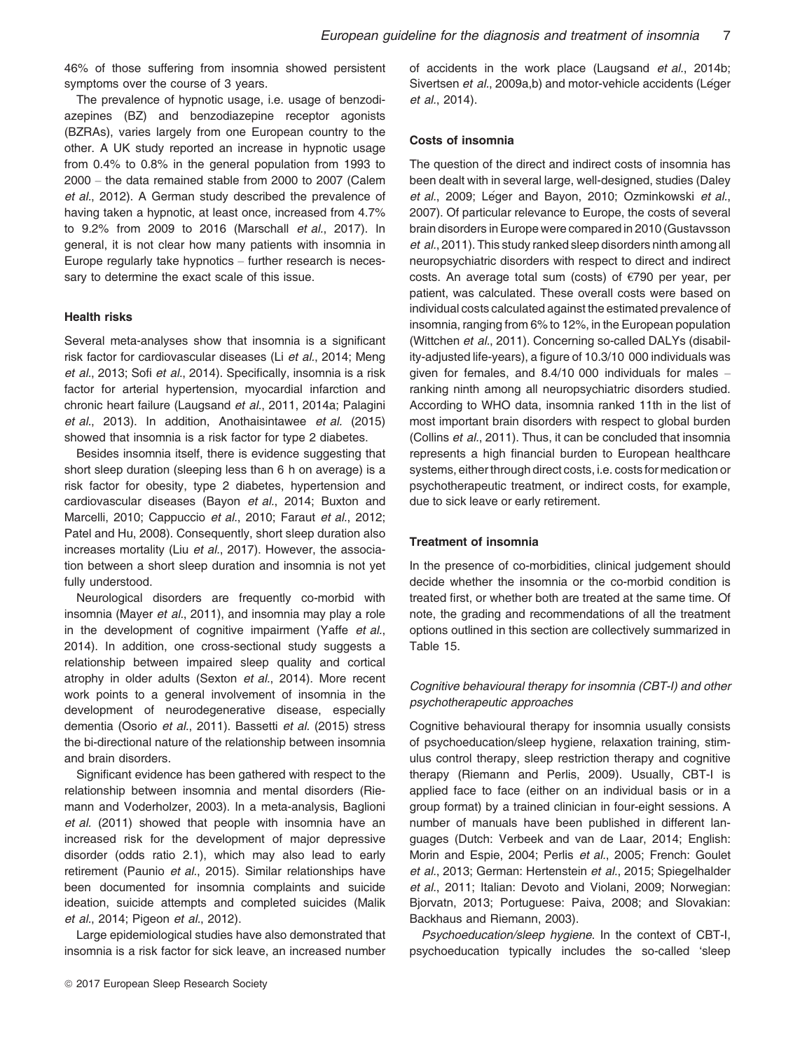46% of those suffering from insomnia showed persistent symptoms over the course of 3 years.

The prevalence of hypnotic usage, i.e. usage of benzodiazepines (BZ) and benzodiazepine receptor agonists (BZRAs), varies largely from one European country to the other. A UK study reported an increase in hypnotic usage from 0.4% to 0.8% in the general population from 1993 to 2000 – the data remained stable from 2000 to 2007 (Calem et al., 2012). A German study described the prevalence of having taken a hypnotic, at least once, increased from 4.7% to 9.2% from 2009 to 2016 (Marschall et al., 2017). In general, it is not clear how many patients with insomnia in Europe regularly take hypnotics – further research is necessary to determine the exact scale of this issue.

# Health risks

Several meta-analyses show that insomnia is a significant risk factor for cardiovascular diseases (Li et al., 2014; Meng et al., 2013; Sofi et al., 2014). Specifically, insomnia is a risk factor for arterial hypertension, myocardial infarction and chronic heart failure (Laugsand et al., 2011, 2014a; Palagini et al., 2013). In addition, Anothaisintawee et al. (2015) showed that insomnia is a risk factor for type 2 diabetes.

Besides insomnia itself, there is evidence suggesting that short sleep duration (sleeping less than 6 h on average) is a risk factor for obesity, type 2 diabetes, hypertension and cardiovascular diseases (Bayon et al., 2014; Buxton and Marcelli, 2010; Cappuccio et al., 2010; Faraut et al., 2012; Patel and Hu, 2008). Consequently, short sleep duration also increases mortality (Liu et al., 2017). However, the association between a short sleep duration and insomnia is not yet fully understood.

Neurological disorders are frequently co-morbid with insomnia (Mayer et al., 2011), and insomnia may play a role in the development of cognitive impairment (Yaffe et al., 2014). In addition, one cross-sectional study suggests a relationship between impaired sleep quality and cortical atrophy in older adults (Sexton et al., 2014). More recent work points to a general involvement of insomnia in the development of neurodegenerative disease, especially dementia (Osorio et al., 2011). Bassetti et al. (2015) stress the bi-directional nature of the relationship between insomnia and brain disorders.

Significant evidence has been gathered with respect to the relationship between insomnia and mental disorders (Riemann and Voderholzer, 2003). In a meta-analysis, Baglioni et al. (2011) showed that people with insomnia have an increased risk for the development of major depressive disorder (odds ratio 2.1), which may also lead to early retirement (Paunio et al., 2015). Similar relationships have been documented for insomnia complaints and suicide ideation, suicide attempts and completed suicides (Malik et al., 2014; Pigeon et al., 2012).

Large epidemiological studies have also demonstrated that insomnia is a risk factor for sick leave, an increased number of accidents in the work place (Laugsand et al., 2014b; Sivertsen et al., 2009a,b) and motor-vehicle accidents (Léger et al., 2014).

#### Costs of insomnia

The question of the direct and indirect costs of insomnia has been dealt with in several large, well-designed, studies (Daley et al., 2009; Léger and Bayon, 2010; Ozminkowski et al., 2007). Of particular relevance to Europe, the costs of several brain disorders in Europe were compared in 2010 (Gustavsson et al., 2011). This study ranked sleep disorders ninth among all neuropsychiatric disorders with respect to direct and indirect costs. An average total sum (costs) of €790 per year, per patient, was calculated. These overall costs were based on individual costs calculated against the estimated prevalence of insomnia, ranging from 6% to 12%, in the European population (Wittchen et al., 2011). Concerning so-called DALYs (disability-adjusted life-years), a figure of 10.3/10 000 individuals was given for females, and 8.4/10 000 individuals for males – ranking ninth among all neuropsychiatric disorders studied. According to WHO data, insomnia ranked 11th in the list of most important brain disorders with respect to global burden (Collins et al., 2011). Thus, it can be concluded that insomnia represents a high financial burden to European healthcare systems, either through direct costs, i.e. costs for medication or psychotherapeutic treatment, or indirect costs, for example, due to sick leave or early retirement.

#### Treatment of insomnia

In the presence of co-morbidities, clinical judgement should decide whether the insomnia or the co-morbid condition is treated first, or whether both are treated at the same time. Of note, the grading and recommendations of all the treatment options outlined in this section are collectively summarized in Table 15.

# Cognitive behavioural therapy for insomnia (CBT-I) and other psychotherapeutic approaches

Cognitive behavioural therapy for insomnia usually consists of psychoeducation/sleep hygiene, relaxation training, stimulus control therapy, sleep restriction therapy and cognitive therapy (Riemann and Perlis, 2009). Usually, CBT-I is applied face to face (either on an individual basis or in a group format) by a trained clinician in four-eight sessions. A number of manuals have been published in different languages (Dutch: Verbeek and van de Laar, 2014; English: Morin and Espie, 2004; Perlis et al., 2005; French: Goulet et al., 2013; German: Hertenstein et al., 2015; Spiegelhalder et al., 2011; Italian: Devoto and Violani, 2009; Norwegian: Bjorvatn, 2013; Portuguese: Paiva, 2008; and Slovakian: Backhaus and Riemann, 2003).

Psychoeducation/sleep hygiene. In the context of CBT-I, psychoeducation typically includes the so-called 'sleep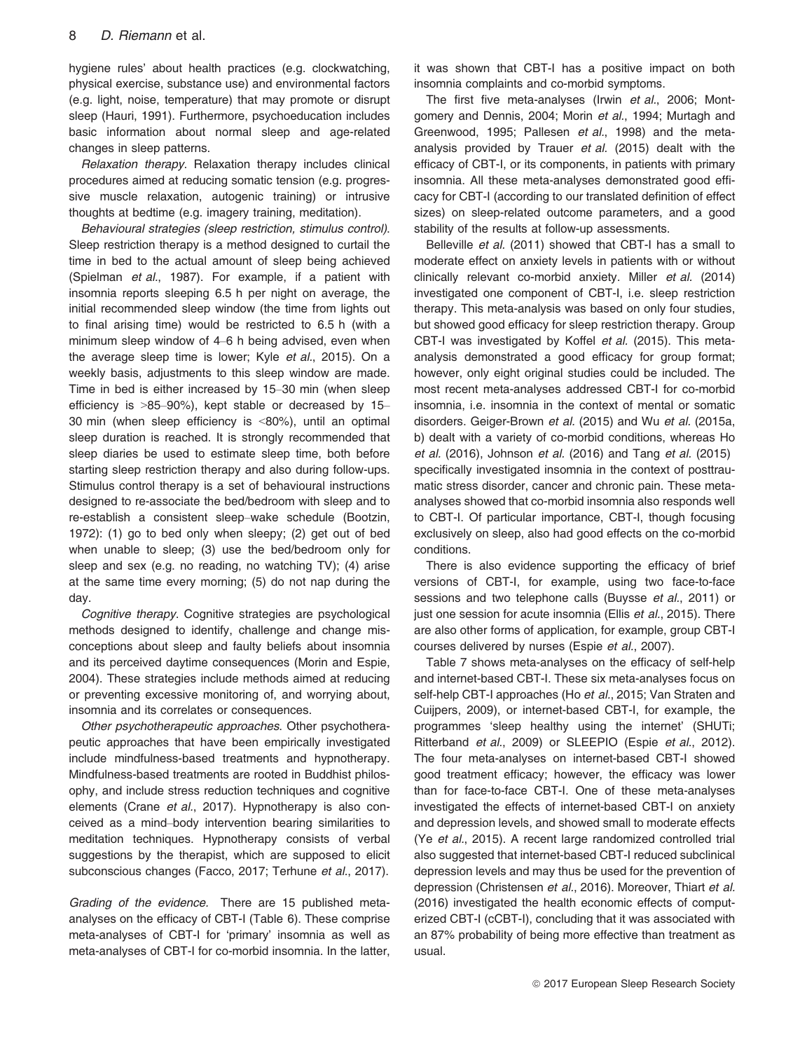hygiene rules' about health practices (e.g. clockwatching, physical exercise, substance use) and environmental factors (e.g. light, noise, temperature) that may promote or disrupt sleep (Hauri, 1991). Furthermore, psychoeducation includes basic information about normal sleep and age-related changes in sleep patterns.

Relaxation therapy. Relaxation therapy includes clinical procedures aimed at reducing somatic tension (e.g. progressive muscle relaxation, autogenic training) or intrusive thoughts at bedtime (e.g. imagery training, meditation).

Behavioural strategies (sleep restriction, stimulus control). Sleep restriction therapy is a method designed to curtail the time in bed to the actual amount of sleep being achieved (Spielman et al., 1987). For example, if a patient with insomnia reports sleeping 6.5 h per night on average, the initial recommended sleep window (the time from lights out to final arising time) would be restricted to 6.5 h (with a minimum sleep window of 4–6 h being advised, even when the average sleep time is lower; Kyle et al., 2015). On a weekly basis, adjustments to this sleep window are made. Time in bed is either increased by 15–30 min (when sleep efficiency is >85–90%), kept stable or decreased by 15– 30 min (when sleep efficiency is <80%), until an optimal sleep duration is reached. It is strongly recommended that sleep diaries be used to estimate sleep time, both before starting sleep restriction therapy and also during follow-ups. Stimulus control therapy is a set of behavioural instructions designed to re-associate the bed/bedroom with sleep and to re-establish a consistent sleep–wake schedule (Bootzin, 1972): (1) go to bed only when sleepy; (2) get out of bed when unable to sleep; (3) use the bed/bedroom only for sleep and sex (e.g. no reading, no watching TV); (4) arise at the same time every morning; (5) do not nap during the day.

Cognitive therapy. Cognitive strategies are psychological methods designed to identify, challenge and change misconceptions about sleep and faulty beliefs about insomnia and its perceived daytime consequences (Morin and Espie, 2004). These strategies include methods aimed at reducing or preventing excessive monitoring of, and worrying about, insomnia and its correlates or consequences.

Other psychotherapeutic approaches. Other psychotherapeutic approaches that have been empirically investigated include mindfulness-based treatments and hypnotherapy. Mindfulness-based treatments are rooted in Buddhist philosophy, and include stress reduction techniques and cognitive elements (Crane et al., 2017). Hypnotherapy is also conceived as a mind–body intervention bearing similarities to meditation techniques. Hypnotherapy consists of verbal suggestions by the therapist, which are supposed to elicit subconscious changes (Facco, 2017; Terhune et al., 2017).

Grading of the evidence. There are 15 published metaanalyses on the efficacy of CBT-I (Table 6). These comprise meta-analyses of CBT-I for 'primary' insomnia as well as meta-analyses of CBT-I for co-morbid insomnia. In the latter, it was shown that CBT-I has a positive impact on both insomnia complaints and co-morbid symptoms.

The first five meta-analyses (Irwin et al., 2006; Montgomery and Dennis, 2004; Morin et al., 1994; Murtagh and Greenwood, 1995; Pallesen et al., 1998) and the metaanalysis provided by Trauer et al. (2015) dealt with the efficacy of CBT-I, or its components, in patients with primary insomnia. All these meta-analyses demonstrated good efficacy for CBT-I (according to our translated definition of effect sizes) on sleep-related outcome parameters, and a good stability of the results at follow-up assessments.

Belleville et al. (2011) showed that CBT-I has a small to moderate effect on anxiety levels in patients with or without clinically relevant co-morbid anxiety. Miller et al. (2014) investigated one component of CBT-I, i.e. sleep restriction therapy. This meta-analysis was based on only four studies, but showed good efficacy for sleep restriction therapy. Group CBT-I was investigated by Koffel et al. (2015). This metaanalysis demonstrated a good efficacy for group format; however, only eight original studies could be included. The most recent meta-analyses addressed CBT-I for co-morbid insomnia, i.e. insomnia in the context of mental or somatic disorders. Geiger-Brown et al. (2015) and Wu et al. (2015a, b) dealt with a variety of co-morbid conditions, whereas Ho et al. (2016), Johnson et al. (2016) and Tang et al. (2015) specifically investigated insomnia in the context of posttraumatic stress disorder, cancer and chronic pain. These metaanalyses showed that co-morbid insomnia also responds well to CBT-I. Of particular importance, CBT-I, though focusing exclusively on sleep, also had good effects on the co-morbid conditions.

There is also evidence supporting the efficacy of brief versions of CBT-I, for example, using two face-to-face sessions and two telephone calls (Buysse et al., 2011) or just one session for acute insomnia (Ellis et al., 2015). There are also other forms of application, for example, group CBT-I courses delivered by nurses (Espie et al., 2007).

Table 7 shows meta-analyses on the efficacy of self-help and internet-based CBT-I. These six meta-analyses focus on self-help CBT-I approaches (Ho et al., 2015; Van Straten and Cuijpers, 2009), or internet-based CBT-I, for example, the programmes 'sleep healthy using the internet' (SHUTi; Ritterband et al., 2009) or SLEEPIO (Espie et al., 2012). The four meta-analyses on internet-based CBT-I showed good treatment efficacy; however, the efficacy was lower than for face-to-face CBT-I. One of these meta-analyses investigated the effects of internet-based CBT-I on anxiety and depression levels, and showed small to moderate effects (Ye et al., 2015). A recent large randomized controlled trial also suggested that internet-based CBT-I reduced subclinical depression levels and may thus be used for the prevention of depression (Christensen et al., 2016). Moreover, Thiart et al. (2016) investigated the health economic effects of computerized CBT-I (cCBT-I), concluding that it was associated with an 87% probability of being more effective than treatment as usual.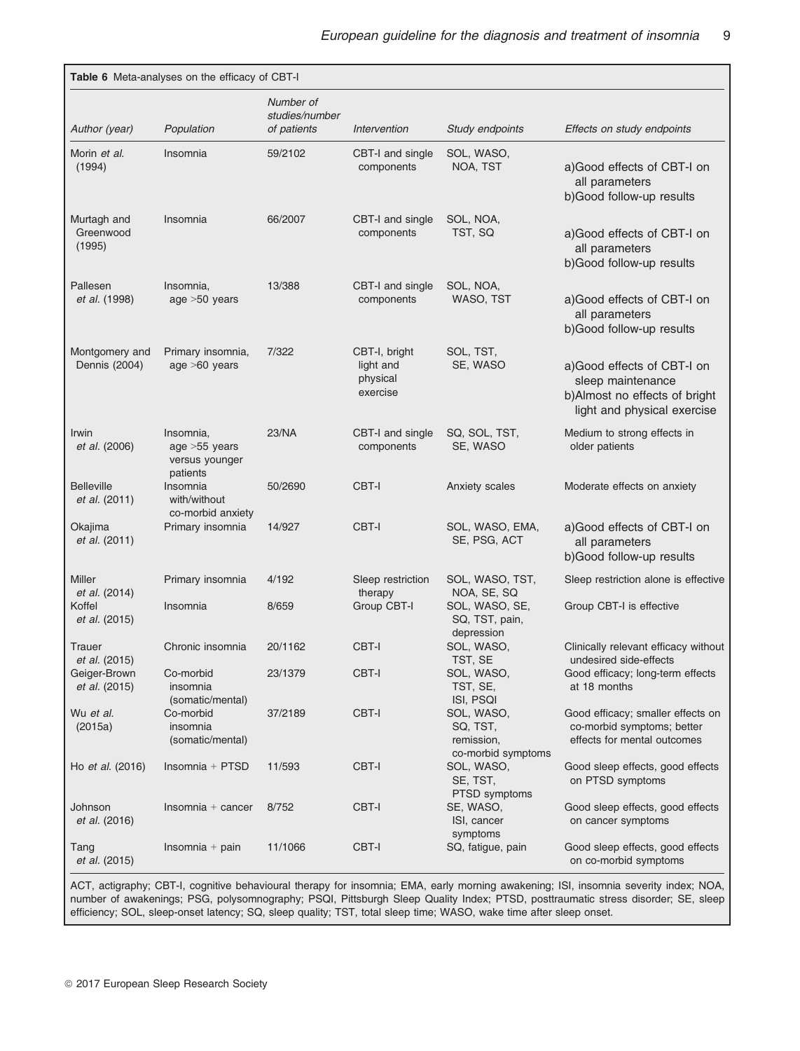|                                                | Table 6 Meta-analyses on the efficacy of CBT-I                |                                            |                                                    |                                                                         |                                                                                                                 |
|------------------------------------------------|---------------------------------------------------------------|--------------------------------------------|----------------------------------------------------|-------------------------------------------------------------------------|-----------------------------------------------------------------------------------------------------------------|
| Author (year)                                  | Population                                                    | Number of<br>studies/number<br>of patients | Intervention                                       | Study endpoints                                                         | Effects on study endpoints                                                                                      |
| Morin et al.<br>(1994)                         | Insomnia                                                      | 59/2102                                    | CBT-I and single<br>components                     | SOL, WASO,<br>NOA, TST                                                  | a) Good effects of CBT-I on<br>all parameters<br>b) Good follow-up results                                      |
| Murtagh and<br>Greenwood<br>(1995)             | Insomnia                                                      | 66/2007                                    | CBT-I and single<br>components                     | SOL, NOA,<br>TST, SQ                                                    | a)Good effects of CBT-I on<br>all parameters<br>b)Good follow-up results                                        |
| Pallesen<br><i>et al.</i> (1998)               | Insomnia,<br>age $>50$ years                                  | 13/388                                     | CBT-I and single<br>components                     | SOL, NOA,<br>WASO, TST                                                  | a) Good effects of CBT-I on<br>all parameters<br>b)Good follow-up results                                       |
| Montgomery and<br>Dennis (2004)                | Primary insomnia,<br>age $>60$ years                          | 7/322                                      | CBT-I, bright<br>light and<br>physical<br>exercise | SOL, TST,<br>SE, WASO                                                   | a)Good effects of CBT-I on<br>sleep maintenance<br>b)Almost no effects of bright<br>light and physical exercise |
| Irwin<br>et al. (2006)                         | Insomnia,<br>age > 55 years<br>versus younger                 | 23/NA                                      | CBT-I and single<br>components                     | SQ, SOL, TST,<br>SE, WASO                                               | Medium to strong effects in<br>older patients                                                                   |
| <b>Belleville</b><br>et al. (2011)             | patients<br>Insomnia<br>with/without<br>co-morbid anxiety     | 50/2690                                    | CBT-I                                              | Anxiety scales                                                          | Moderate effects on anxiety                                                                                     |
| Okajima<br>et al. (2011)                       | Primary insomnia                                              | 14/927                                     | CBT-I                                              | SOL, WASO, EMA,<br>SE, PSG, ACT                                         | a) Good effects of CBT-I on<br>all parameters<br>b)Good follow-up results                                       |
| Miller<br>et al. (2014)                        | Primary insomnia                                              | 4/192                                      | Sleep restriction<br>therapy                       | SOL, WASO, TST,<br>NOA, SE, SQ                                          | Sleep restriction alone is effective                                                                            |
| Koffel<br>et al. (2015)                        | Insomnia                                                      | 8/659                                      | Group CBT-I                                        | SOL, WASO, SE,<br>SQ, TST, pain,<br>depression                          | Group CBT-I is effective                                                                                        |
| Trauer                                         | Chronic insomnia                                              | 20/1162                                    | CBT-I                                              | SOL, WASO,                                                              | Clinically relevant efficacy without<br>undesired side-effects                                                  |
| et al. (2015)<br>Geiger-Brown<br>et al. (2015) | Co-morbid<br>insomnia                                         | 23/1379                                    | CBT-I                                              | TST, SE<br>SOL, WASO,<br>TST, SE,                                       | Good efficacy; long-term effects<br>at 18 months                                                                |
| Wu et al.<br>(2015a)                           | (somatic/mental)<br>Co-morbid<br>insomnia<br>(somatic/mental) | 37/2189                                    | CBT-I                                              | ISI, PSQI<br>SOL, WASO,<br>SQ, TST,<br>remission,<br>co-morbid symptoms | Good efficacy; smaller effects on<br>co-morbid symptoms; better<br>effects for mental outcomes                  |
| Ho et al. (2016)                               | $Insomnia + PTSD$                                             | 11/593                                     | CBT-I                                              | SOL, WASO,<br>SE, TST,<br>PTSD symptoms                                 | Good sleep effects, good effects<br>on PTSD symptoms                                                            |
| Johnson<br>et al. (2016)                       | $Insomnia + cancer$                                           | 8/752                                      | CBT-I                                              | SE, WASO,<br>ISI, cancer<br>symptoms                                    | Good sleep effects, good effects<br>on cancer symptoms                                                          |
| Tang<br>et al. (2015)                          | Insomnia $+$ pain                                             | 11/1066                                    | CBT-I                                              | SQ, fatigue, pain                                                       | Good sleep effects, good effects<br>on co-morbid symptoms                                                       |

ACT, actigraphy; CBT-I, cognitive behavioural therapy for insomnia; EMA, early morning awakening; ISI, insomnia severity index; NOA, number of awakenings; PSG, polysomnography; PSQI, Pittsburgh Sleep Quality Index; PTSD, posttraumatic stress disorder; SE, sleep efficiency; SOL, sleep-onset latency; SQ, sleep quality; TST, total sleep time; WASO, wake time after sleep onset.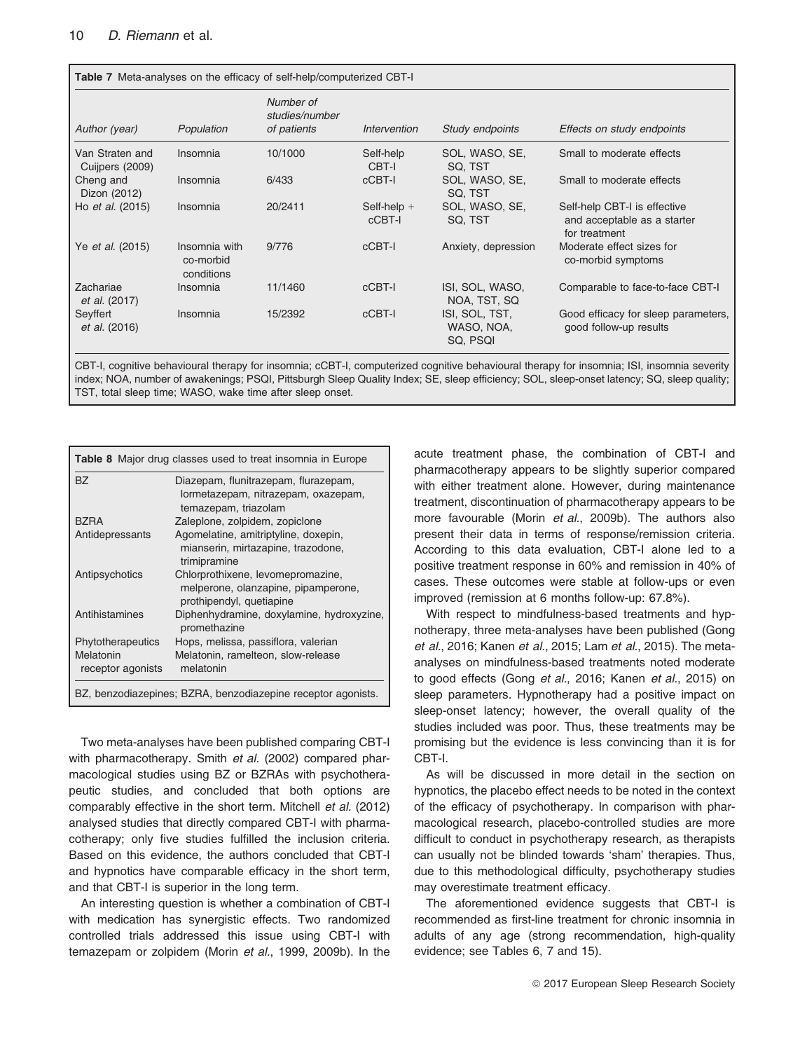| Table 7 Meta-analyses on the efficacy of self-help/computerized CBT-I |                                          |                                            |                         |                                          |                                                                              |  |
|-----------------------------------------------------------------------|------------------------------------------|--------------------------------------------|-------------------------|------------------------------------------|------------------------------------------------------------------------------|--|
| Author (year)                                                         | Population                               | Number of<br>studies/number<br>of patients | Intervention            | Study endpoints                          | Effects on study endpoints                                                   |  |
| Van Straten and<br>Cuijpers (2009)                                    | Insomnia                                 | 10/1000                                    | Self-help<br>CBT-I      | SOL, WASO, SE,<br>SQ. TST                | Small to moderate effects                                                    |  |
| Cheng and<br>Dizon (2012)                                             | Insomnia                                 | 6/433                                      | cCBT-I                  | SOL, WASO, SE,<br>SQ. TST                | Small to moderate effects                                                    |  |
| Ho et al. (2015)                                                      | Insomnia                                 | 20/2411                                    | Self-help $+$<br>cCBT-I | SOL. WASO, SE.<br>SQ. TST                | Self-help CBT-I is effective<br>and acceptable as a starter<br>for treatment |  |
| Ye <i>et al.</i> (2015)                                               | Insomnia with<br>co-morbid<br>conditions | 9/776                                      | cCBT-I                  | Anxiety, depression                      | Moderate effect sizes for<br>co-morbid symptoms                              |  |
| Zachariae<br><i>et al.</i> (2017)                                     | Insomnia                                 | 11/1460                                    | cCBT-I                  | ISI, SOL, WASO,<br>NOA, TST, SQ          | Comparable to face-to-face CBT-I                                             |  |
| Seyffert<br>et al. (2016)                                             | Insomnia                                 | 15/2392                                    | cCBT-I                  | ISI, SOL, TST,<br>WASO, NOA,<br>SQ, PSQI | Good efficacy for sleep parameters,<br>good follow-up results                |  |

CBT-I, cognitive behavioural therapy for insomnia; cCBT-I, computerized cognitive behavioural therapy for insomnia; ISI, insomnia severity index; NOA, number of awakenings; PSQI, Pittsburgh Sleep Quality Index; SE, sleep efficiency; SOL, sleep-onset latency; SQ, sleep quality; TST, total sleep time; WASO, wake time after sleep onset.

| Table 8 Major drug classes used to treat insomnia in Europe |                                                                                                      |  |  |  |
|-------------------------------------------------------------|------------------------------------------------------------------------------------------------------|--|--|--|
| <b>BZ</b>                                                   | Diazepam, flunitrazepam, flurazepam,<br>lormetazepam, nitrazepam, oxazepam,<br>temazepam, triazolam  |  |  |  |
| <b>BZRA</b>                                                 | Zaleplone, zolpidem, zopiclone                                                                       |  |  |  |
| Antidepressants                                             | Agomelatine, amitriptyline, doxepin,                                                                 |  |  |  |
|                                                             | mianserin, mirtazapine, trazodone,<br>trimipramine                                                   |  |  |  |
| Antipsychotics                                              | Chlorprothixene, levomepromazine,<br>melperone, olanzapine, pipamperone,<br>prothipendyl, quetiapine |  |  |  |
| Antihistamines                                              | Diphenhydramine, doxylamine, hydroxyzine,<br>promethazine                                            |  |  |  |
| Phytotherapeutics                                           | Hops, melissa, passiflora, valerian                                                                  |  |  |  |
| Melatonin<br>receptor agonists                              | Melatonin, ramelteon, slow-release<br>melatonin                                                      |  |  |  |
|                                                             | BZ, benzodiazepines; BZRA, benzodiazepine receptor agonists.                                         |  |  |  |

Two meta-analyses have been published comparing CBT-I with pharmacotherapy. Smith et al. (2002) compared pharmacological studies using BZ or BZRAs with psychotherapeutic studies, and concluded that both options are comparably effective in the short term. Mitchell et al. (2012) analysed studies that directly compared CBT-I with pharmacotherapy; only five studies fulfilled the inclusion criteria. Based on this evidence, the authors concluded that CBT-I and hypnotics have comparable efficacy in the short term, and that CBT-I is superior in the long term.

An interesting question is whether a combination of CBT-I with medication has synergistic effects. Two randomized controlled trials addressed this issue using CBT-I with temazepam or zolpidem (Morin et al., 1999, 2009b). In the acute treatment phase, the combination of CBT-I and pharmacotherapy appears to be slightly superior compared with either treatment alone. However, during maintenance treatment, discontinuation of pharmacotherapy appears to be more favourable (Morin et al., 2009b). The authors also present their data in terms of response/remission criteria. According to this data evaluation, CBT-I alone led to a positive treatment response in 60% and remission in 40% of cases. These outcomes were stable at follow-ups or even improved (remission at 6 months follow-up: 67.8%).

With respect to mindfulness-based treatments and hypnotherapy, three meta-analyses have been published (Gong et al., 2016; Kanen et al., 2015; Lam et al., 2015). The metaanalyses on mindfulness-based treatments noted moderate to good effects (Gong et al., 2016; Kanen et al., 2015) on sleep parameters. Hypnotherapy had a positive impact on sleep-onset latency; however, the overall quality of the studies included was poor. Thus, these treatments may be promising but the evidence is less convincing than it is for CBT-I.

As will be discussed in more detail in the section on hypnotics, the placebo effect needs to be noted in the context of the efficacy of psychotherapy. In comparison with pharmacological research, placebo-controlled studies are more difficult to conduct in psychotherapy research, as therapists can usually not be blinded towards 'sham' therapies. Thus, due to this methodological difficulty, psychotherapy studies may overestimate treatment efficacy.

The aforementioned evidence suggests that CBT-I is recommended as first-line treatment for chronic insomnia in adults of any age (strong recommendation, high-quality evidence; see Tables 6, 7 and 15).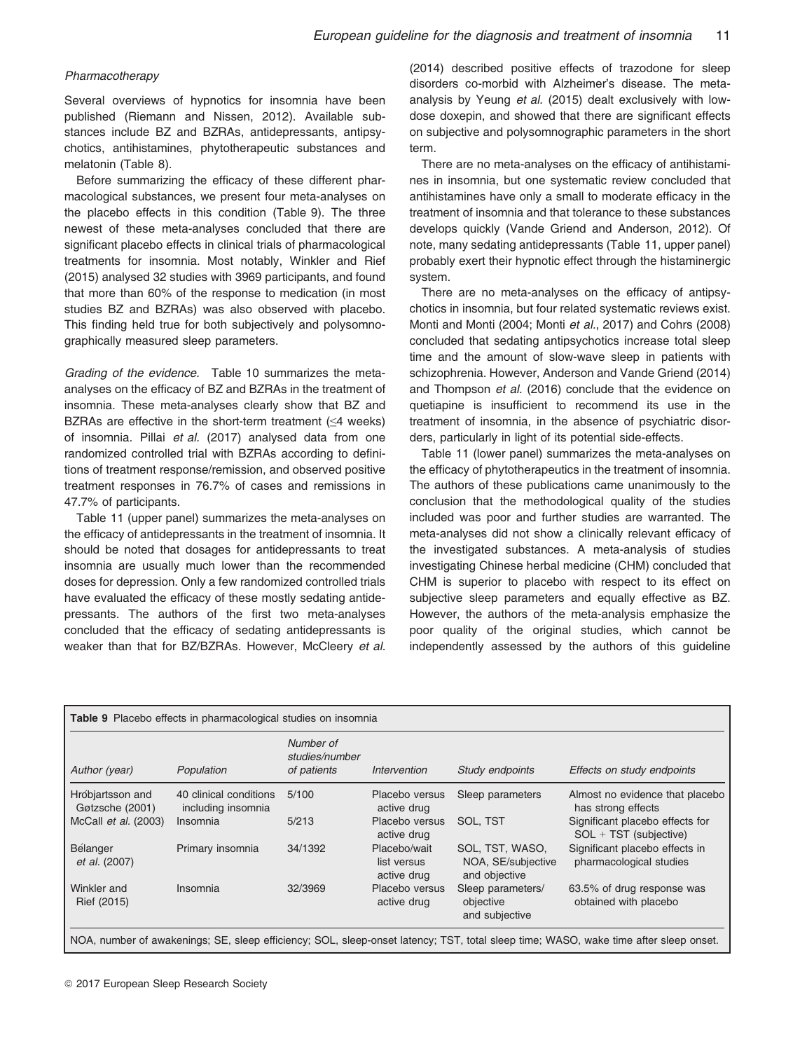#### Pharmacotherapy

Several overviews of hypnotics for insomnia have been published (Riemann and Nissen, 2012). Available substances include BZ and BZRAs, antidepressants, antipsychotics, antihistamines, phytotherapeutic substances and melatonin (Table 8).

Before summarizing the efficacy of these different pharmacological substances, we present four meta-analyses on the placebo effects in this condition (Table 9). The three newest of these meta-analyses concluded that there are significant placebo effects in clinical trials of pharmacological treatments for insomnia. Most notably, Winkler and Rief (2015) analysed 32 studies with 3969 participants, and found that more than 60% of the response to medication (in most studies BZ and BZRAs) was also observed with placebo. This finding held true for both subjectively and polysomnographically measured sleep parameters.

Grading of the evidence. Table 10 summarizes the metaanalyses on the efficacy of BZ and BZRAs in the treatment of insomnia. These meta-analyses clearly show that BZ and BZRAs are effective in the short-term treatment  $(\leq 4$  weeks) of insomnia. Pillai et al. (2017) analysed data from one randomized controlled trial with BZRAs according to definitions of treatment response/remission, and observed positive treatment responses in 76.7% of cases and remissions in 47.7% of participants.

Table 11 (upper panel) summarizes the meta-analyses on the efficacy of antidepressants in the treatment of insomnia. It should be noted that dosages for antidepressants to treat insomnia are usually much lower than the recommended doses for depression. Only a few randomized controlled trials have evaluated the efficacy of these mostly sedating antidepressants. The authors of the first two meta-analyses concluded that the efficacy of sedating antidepressants is weaker than that for BZ/BZRAs. However, McCleery et al.

(2014) described positive effects of trazodone for sleep disorders co-morbid with Alzheimer's disease. The metaanalysis by Yeung et al. (2015) dealt exclusively with lowdose doxepin, and showed that there are significant effects on subjective and polysomnographic parameters in the short term.

There are no meta-analyses on the efficacy of antihistamines in insomnia, but one systematic review concluded that antihistamines have only a small to moderate efficacy in the treatment of insomnia and that tolerance to these substances develops quickly (Vande Griend and Anderson, 2012). Of note, many sedating antidepressants (Table 11, upper panel) probably exert their hypnotic effect through the histaminergic system.

There are no meta-analyses on the efficacy of antipsychotics in insomnia, but four related systematic reviews exist. Monti and Monti (2004; Monti et al., 2017) and Cohrs (2008) concluded that sedating antipsychotics increase total sleep time and the amount of slow-wave sleep in patients with schizophrenia. However, Anderson and Vande Griend (2014) and Thompson et al. (2016) conclude that the evidence on quetiapine is insufficient to recommend its use in the treatment of insomnia, in the absence of psychiatric disorders, particularly in light of its potential side-effects.

Table 11 (lower panel) summarizes the meta-analyses on the efficacy of phytotherapeutics in the treatment of insomnia. The authors of these publications came unanimously to the conclusion that the methodological quality of the studies included was poor and further studies are warranted. The meta-analyses did not show a clinically relevant efficacy of the investigated substances. A meta-analysis of studies investigating Chinese herbal medicine (CHM) concluded that CHM is superior to placebo with respect to its effect on subjective sleep parameters and equally effective as BZ. However, the authors of the meta-analysis emphasize the poor quality of the original studies, which cannot be independently assessed by the authors of this guideline

| Table 9 Placebo effects in pharmacological studies on insomnia                                                                       |                                              |                                            |                                            |                                                        |                                                           |  |
|--------------------------------------------------------------------------------------------------------------------------------------|----------------------------------------------|--------------------------------------------|--------------------------------------------|--------------------------------------------------------|-----------------------------------------------------------|--|
| Author (year)                                                                                                                        | Population                                   | Number of<br>studies/number<br>of patients | Intervention                               | Study endpoints                                        | Effects on study endpoints                                |  |
| Hróbjartsson and<br>Gøtzsche (2001)                                                                                                  | 40 clinical conditions<br>including insomnia | 5/100                                      | Placebo versus<br>active drug              | Sleep parameters                                       | Almost no evidence that placebo<br>has strong effects     |  |
| McCall et al. (2003)                                                                                                                 | <b>Insomnia</b>                              | 5/213                                      | Placebo versus<br>active drug              | SOL, TST                                               | Significant placebo effects for<br>SOL + TST (subjective) |  |
| Bélanger<br>et al. (2007)                                                                                                            | Primary insomnia                             | 34/1392                                    | Placebo/wait<br>list versus<br>active drug | SOL, TST, WASO,<br>NOA, SE/subjective<br>and objective | Significant placebo effects in<br>pharmacological studies |  |
| Winkler and<br>Rief (2015)                                                                                                           | Insomnia                                     | 32/3969                                    | Placebo versus<br>active drug              | Sleep parameters/<br>objective<br>and subjective       | 63.5% of drug response was<br>obtained with placebo       |  |
| NOA, number of awakenings; SE, sleep efficiency; SOL, sleep-onset latency; TST, total sleep time; WASO, wake time after sleep onset. |                                              |                                            |                                            |                                                        |                                                           |  |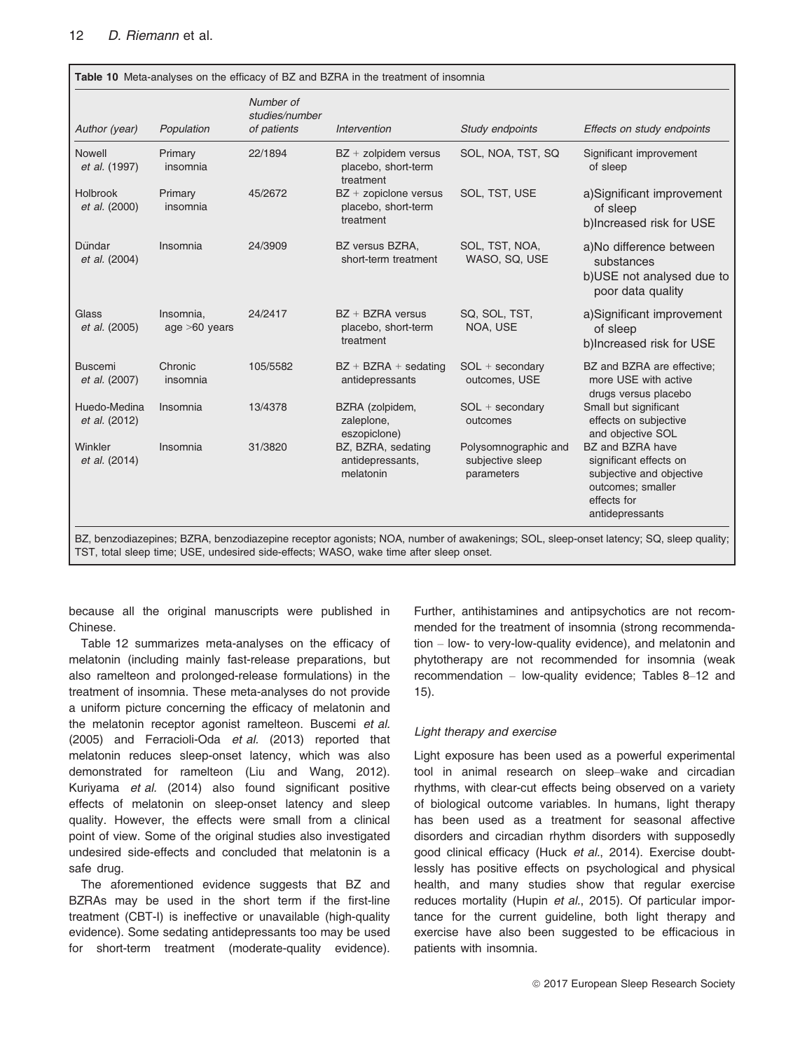| Author (year)                    | Population                   | Number of<br>studies/number<br>of patients | Intervention                                                  | Study endpoints                                        | Effects on study endpoints                                                                                                    |
|----------------------------------|------------------------------|--------------------------------------------|---------------------------------------------------------------|--------------------------------------------------------|-------------------------------------------------------------------------------------------------------------------------------|
| Nowell<br>et al. (1997)          | Primary<br>insomnia          | 22/1894                                    | BZ + zolpidem versus<br>placebo, short-term<br>treatment      | SOL, NOA, TST, SQ                                      | Significant improvement<br>of sleep                                                                                           |
| <b>Holbrook</b><br>et al. (2000) | Primary<br>insomnia          | 45/2672                                    | $BZ + z$ zopiclone versus<br>placebo, short-term<br>treatment | SOL, TST, USE                                          | a)Significant improvement<br>of sleep<br>b)Increased risk for USE                                                             |
| Dündar<br>et al. (2004)          | Insomnia                     | 24/3909                                    | BZ versus BZRA,<br>short-term treatment                       | SOL, TST, NOA,<br>WASO, SQ, USE                        | a)No difference between<br>substances<br>b)USE not analysed due to<br>poor data quality                                       |
| Glass<br>et al. (2005)           | Insomnia.<br>age $>60$ years | 24/2417                                    | $BZ + BZRA$ versus<br>placebo, short-term<br>treatment        | SQ, SOL, TST,<br>NOA, USE                              | a)Significant improvement<br>of sleep<br>b)Increased risk for USE                                                             |
| <b>Buscemi</b><br>et al. (2007)  | Chronic<br>insomnia          | 105/5582                                   | $BZ + BZRA +$ sedating<br>antidepressants                     | $SOL + secondary$<br>outcomes, USE                     | BZ and BZRA are effective;<br>more USE with active<br>drugs versus placebo                                                    |
| Huedo-Medina<br>et al. (2012)    | Insomnia                     | 13/4378                                    | BZRA (zolpidem,<br>zaleplone,<br>eszopiclone)                 | $SOL + secondary$<br>outcomes                          | Small but significant<br>effects on subjective<br>and objective SOL                                                           |
| Winkler<br>et al. (2014)         | Insomnia                     | 31/3820                                    | BZ, BZRA, sedating<br>antidepressants,<br>melatonin           | Polysomnographic and<br>subjective sleep<br>parameters | BZ and BZRA have<br>significant effects on<br>subjective and objective<br>outcomes; smaller<br>effects for<br>antidepressants |

TST, total sleep time; USE, undesired side-effects; WASO, wake time after sleep onset.

because all the original manuscripts were published in Chinese.

Table 12 summarizes meta-analyses on the efficacy of melatonin (including mainly fast-release preparations, but also ramelteon and prolonged-release formulations) in the treatment of insomnia. These meta-analyses do not provide a uniform picture concerning the efficacy of melatonin and the melatonin receptor agonist ramelteon. Buscemi et al. (2005) and Ferracioli-Oda et al. (2013) reported that melatonin reduces sleep-onset latency, which was also demonstrated for ramelteon (Liu and Wang, 2012). Kuriyama et al. (2014) also found significant positive effects of melatonin on sleep-onset latency and sleep quality. However, the effects were small from a clinical point of view. Some of the original studies also investigated undesired side-effects and concluded that melatonin is a safe drug.

The aforementioned evidence suggests that BZ and BZRAs may be used in the short term if the first-line treatment (CBT-I) is ineffective or unavailable (high-quality evidence). Some sedating antidepressants too may be used for short-term treatment (moderate-quality evidence). Further, antihistamines and antipsychotics are not recommended for the treatment of insomnia (strong recommendation – low- to very-low-quality evidence), and melatonin and phytotherapy are not recommended for insomnia (weak recommendation – low-quality evidence; Tables 8–12 and 15).

# Light therapy and exercise

Light exposure has been used as a powerful experimental tool in animal research on sleep–wake and circadian rhythms, with clear-cut effects being observed on a variety of biological outcome variables. In humans, light therapy has been used as a treatment for seasonal affective disorders and circadian rhythm disorders with supposedly good clinical efficacy (Huck et al., 2014). Exercise doubtlessly has positive effects on psychological and physical health, and many studies show that regular exercise reduces mortality (Hupin et al., 2015). Of particular importance for the current guideline, both light therapy and exercise have also been suggested to be efficacious in patients with insomnia.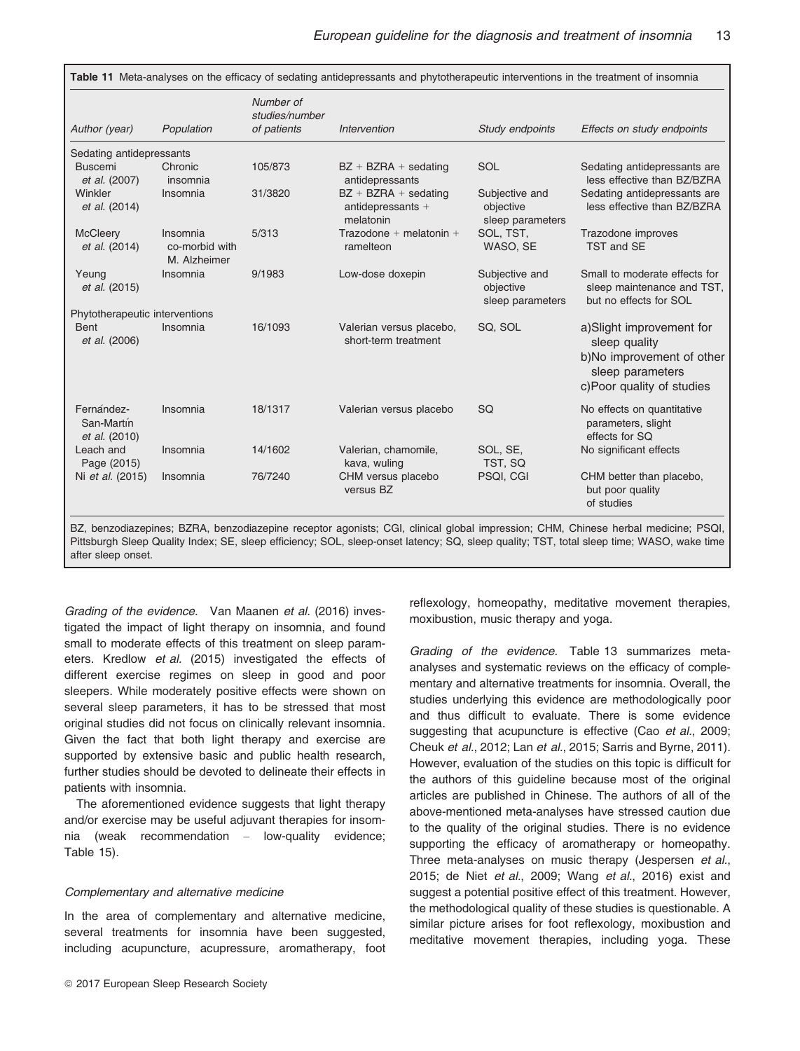| Author (year)                             | Population                                 | Number of<br>studies/number<br>of patients | Intervention                                             | Study endpoints                                 | Effects on study endpoints                                                                                              |
|-------------------------------------------|--------------------------------------------|--------------------------------------------|----------------------------------------------------------|-------------------------------------------------|-------------------------------------------------------------------------------------------------------------------------|
| Sedating antidepressants                  |                                            |                                            |                                                          |                                                 |                                                                                                                         |
| <b>Buscemi</b><br>et al. (2007)           | Chronic<br>insomnia                        | 105/873                                    | $BZ + BZRA +$ sedating<br>antidepressants                | <b>SOL</b>                                      | Sedating antidepressants are<br>less effective than BZ/BZRA                                                             |
| Winkler<br>et al. (2014)                  | Insomnia                                   | 31/3820                                    | $BZ + BZRA +$ sedating<br>antidepressants +<br>melatonin | Subjective and<br>objective<br>sleep parameters | Sedating antidepressants are<br>less effective than BZ/BZRA                                                             |
| <b>McCleery</b><br>et al. (2014)          | Insomnia<br>co-morbid with<br>M. Alzheimer | 5/313                                      | Trazodone + melatonin +<br>ramelteon                     | SOL, TST,<br>WASO, SE                           | Trazodone improves<br>TST and SE                                                                                        |
| Yeung<br>et al. (2015)                    | Insomnia                                   | 9/1983                                     | Low-dose doxepin                                         | Subjective and<br>objective<br>sleep parameters | Small to moderate effects for<br>sleep maintenance and TST,<br>but no effects for SOL                                   |
| Phytotherapeutic interventions            |                                            |                                            |                                                          |                                                 |                                                                                                                         |
| <b>Bent</b><br>et al. (2006)              | Insomnia                                   | 16/1093                                    | Valerian versus placebo,<br>short-term treatment         | SQ, SOL                                         | a)Slight improvement for<br>sleep quality<br>b)No improvement of other<br>sleep parameters<br>c)Poor quality of studies |
| Fernández-<br>San-Martín<br>et al. (2010) | Insomnia                                   | 18/1317                                    | Valerian versus placebo                                  | SQ                                              | No effects on quantitative<br>parameters, slight<br>effects for SQ                                                      |
| Leach and<br>Page (2015)                  | Insomnia                                   | 14/1602                                    | Valerian, chamomile,<br>kava, wuling                     | SOL, SE,<br>TST, SQ                             | No significant effects                                                                                                  |
| Ni et al. (2015)                          | Insomnia                                   | 76/7240                                    | CHM versus placebo<br>versus BZ                          | PSQI, CGI                                       | CHM better than placebo,<br>but poor quality<br>of studies                                                              |

BZ, benzodiazepines; BZRA, benzodiazepine receptor agonists; CGI, clinical global impression; CHM, Chinese herbal medicine; PSQI, Pittsburgh Sleep Quality Index; SE, sleep efficiency; SOL, sleep-onset latency; SQ, sleep quality; TST, total sleep time; WASO, wake time after sleep onset.

Grading of the evidence. Van Maanen et al. (2016) investigated the impact of light therapy on insomnia, and found small to moderate effects of this treatment on sleep parameters. Kredlow et al. (2015) investigated the effects of different exercise regimes on sleep in good and poor sleepers. While moderately positive effects were shown on several sleep parameters, it has to be stressed that most original studies did not focus on clinically relevant insomnia. Given the fact that both light therapy and exercise are supported by extensive basic and public health research, further studies should be devoted to delineate their effects in patients with insomnia.

The aforementioned evidence suggests that light therapy and/or exercise may be useful adjuvant therapies for insomnia (weak recommendation – low-quality evidence; Table 15).

# Complementary and alternative medicine

In the area of complementary and alternative medicine, several treatments for insomnia have been suggested, including acupuncture, acupressure, aromatherapy, foot reflexology, homeopathy, meditative movement therapies, moxibustion, music therapy and yoga.

Grading of the evidence. Table 13 summarizes metaanalyses and systematic reviews on the efficacy of complementary and alternative treatments for insomnia. Overall, the studies underlying this evidence are methodologically poor and thus difficult to evaluate. There is some evidence suggesting that acupuncture is effective (Cao et al., 2009; Cheuk et al., 2012; Lan et al., 2015; Sarris and Byrne, 2011). However, evaluation of the studies on this topic is difficult for the authors of this guideline because most of the original articles are published in Chinese. The authors of all of the above-mentioned meta-analyses have stressed caution due to the quality of the original studies. There is no evidence supporting the efficacy of aromatherapy or homeopathy. Three meta-analyses on music therapy (Jespersen et al., 2015; de Niet et al., 2009; Wang et al., 2016) exist and suggest a potential positive effect of this treatment. However, the methodological quality of these studies is questionable. A similar picture arises for foot reflexology, moxibustion and meditative movement therapies, including yoga. These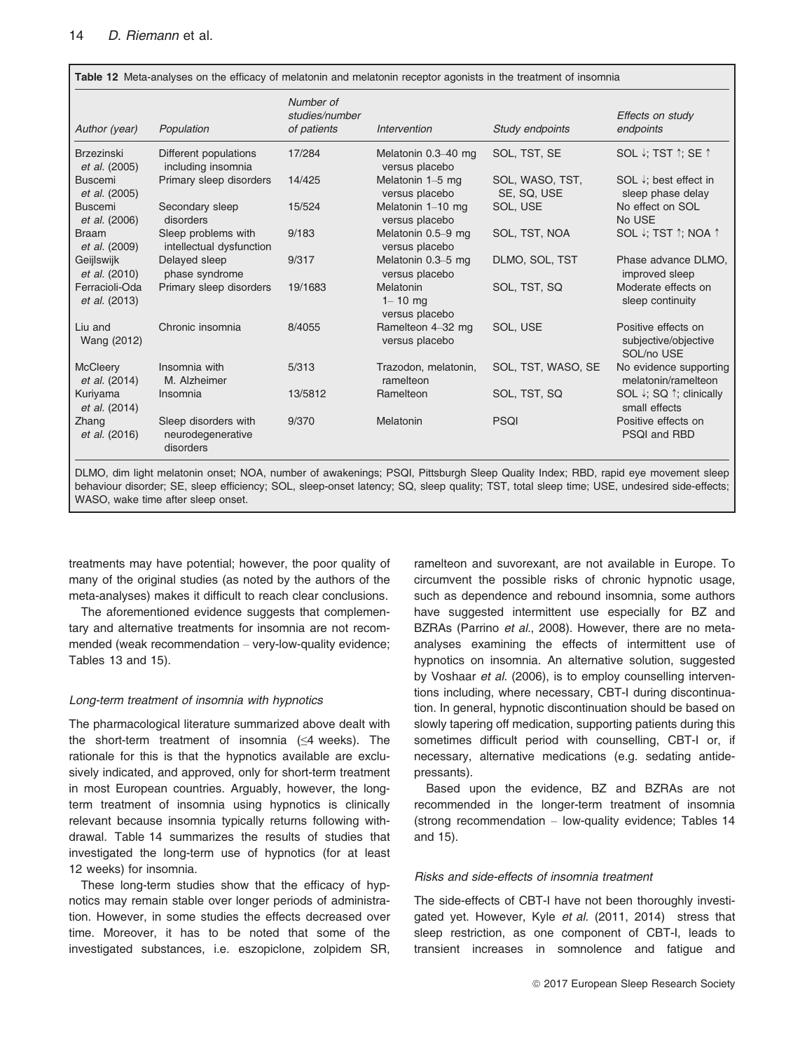| Author (year)                          | Population                                             | Number of<br>studies/number<br>of patients | Intervention                               | Study endpoints                | Effects on study<br>endpoints                             |
|----------------------------------------|--------------------------------------------------------|--------------------------------------------|--------------------------------------------|--------------------------------|-----------------------------------------------------------|
| <b>Brzezinski</b><br>et al. (2005)     | Different populations<br>including insomnia            | 17/284                                     | Melatonin 0.3-40 mg<br>versus placebo      | SOL, TST, SE                   | SOL V; TST 1; SE 1                                        |
| <b>Buscemi</b><br>et al. (2005)        | Primary sleep disorders                                | 14/425                                     | Melatonin 1-5 mg<br>versus placebo         | SOL, WASO, TST,<br>SE. SQ. USE | SOL $\downarrow$ ; best effect in<br>sleep phase delay    |
| <b>Buscemi</b><br><i>et al.</i> (2006) | Secondary sleep<br>disorders                           | 15/524                                     | Melatonin 1-10 mg<br>versus placebo        | SOL, USE                       | No effect on SOL<br>No USE                                |
| <b>Braam</b><br>et al. (2009)          | Sleep problems with<br>intellectual dysfunction        | 9/183                                      | Melatonin 0.5-9 mg<br>versus placebo       | SOL, TST, NOA                  | SOL ↓; TST ↑; NOA ↑                                       |
| Geijlswijk<br>et al. (2010)            | Delayed sleep<br>phase syndrome                        | 9/317                                      | Melatonin 0.3-5 mg<br>versus placebo       | DLMO, SOL, TST                 | Phase advance DLMO.<br>improved sleep                     |
| Ferracioli-Oda<br>et al. (2013)        | Primary sleep disorders                                | 19/1683                                    | Melatonin<br>$1 - 10$ mg<br>versus placebo | SOL, TST, SQ                   | Moderate effects on<br>sleep continuity                   |
| Liu and<br>Wang (2012)                 | Chronic insomnia                                       | 8/4055                                     | Ramelteon 4-32 mg<br>versus placebo        | SOL, USE                       | Positive effects on<br>subjective/objective<br>SOL/no USE |
| <b>McCleery</b><br>et al. (2014)       | Insomnia with<br>M. Alzheimer                          | 5/313                                      | Trazodon, melatonin,<br>ramelteon          | SOL, TST, WASO, SE             | No evidence supporting<br>melatonin/ramelteon             |
| Kuriyama<br>et al. (2014)              | Insomnia                                               | 13/5812                                    | Ramelteon                                  | SOL, TST, SQ                   | SOL ↓: SQ ↑: clinically<br>small effects                  |
| Zhang<br>et al. (2016)                 | Sleep disorders with<br>neurodegenerative<br>disorders | 9/370                                      | Melatonin                                  | <b>PSQI</b>                    | Positive effects on<br>PSQI and RBD                       |

behaviour disorder; SE, sleep efficiency; SOL, sleep-onset latency; SQ, sleep quality; TST, total sleep time; USE, undesired side-effects; WASO, wake time after sleep onset.

treatments may have potential; however, the poor quality of many of the original studies (as noted by the authors of the meta-analyses) makes it difficult to reach clear conclusions.

The aforementioned evidence suggests that complementary and alternative treatments for insomnia are not recommended (weak recommendation – very-low-quality evidence; Tables 13 and 15).

#### Long-term treatment of insomnia with hypnotics

The pharmacological literature summarized above dealt with the short-term treatment of insomnia  $(\leq 4$  weeks). The rationale for this is that the hypnotics available are exclusively indicated, and approved, only for short-term treatment in most European countries. Arguably, however, the longterm treatment of insomnia using hypnotics is clinically relevant because insomnia typically returns following withdrawal. Table 14 summarizes the results of studies that investigated the long-term use of hypnotics (for at least 12 weeks) for insomnia.

These long-term studies show that the efficacy of hypnotics may remain stable over longer periods of administration. However, in some studies the effects decreased over time. Moreover, it has to be noted that some of the investigated substances, i.e. eszopiclone, zolpidem SR, ramelteon and suvorexant, are not available in Europe. To circumvent the possible risks of chronic hypnotic usage, such as dependence and rebound insomnia, some authors have suggested intermittent use especially for BZ and BZRAs (Parrino et al., 2008). However, there are no metaanalyses examining the effects of intermittent use of hypnotics on insomnia. An alternative solution, suggested by Voshaar et al. (2006), is to employ counselling interventions including, where necessary, CBT-I during discontinuation. In general, hypnotic discontinuation should be based on slowly tapering off medication, supporting patients during this sometimes difficult period with counselling, CBT-I or, if necessary, alternative medications (e.g. sedating antidepressants).

Based upon the evidence, BZ and BZRAs are not recommended in the longer-term treatment of insomnia (strong recommendation – low-quality evidence; Tables 14 and 15).

#### Risks and side-effects of insomnia treatment

The side-effects of CBT-I have not been thoroughly investigated yet. However, Kyle et al. (2011, 2014) stress that sleep restriction, as one component of CBT-I, leads to transient increases in somnolence and fatigue and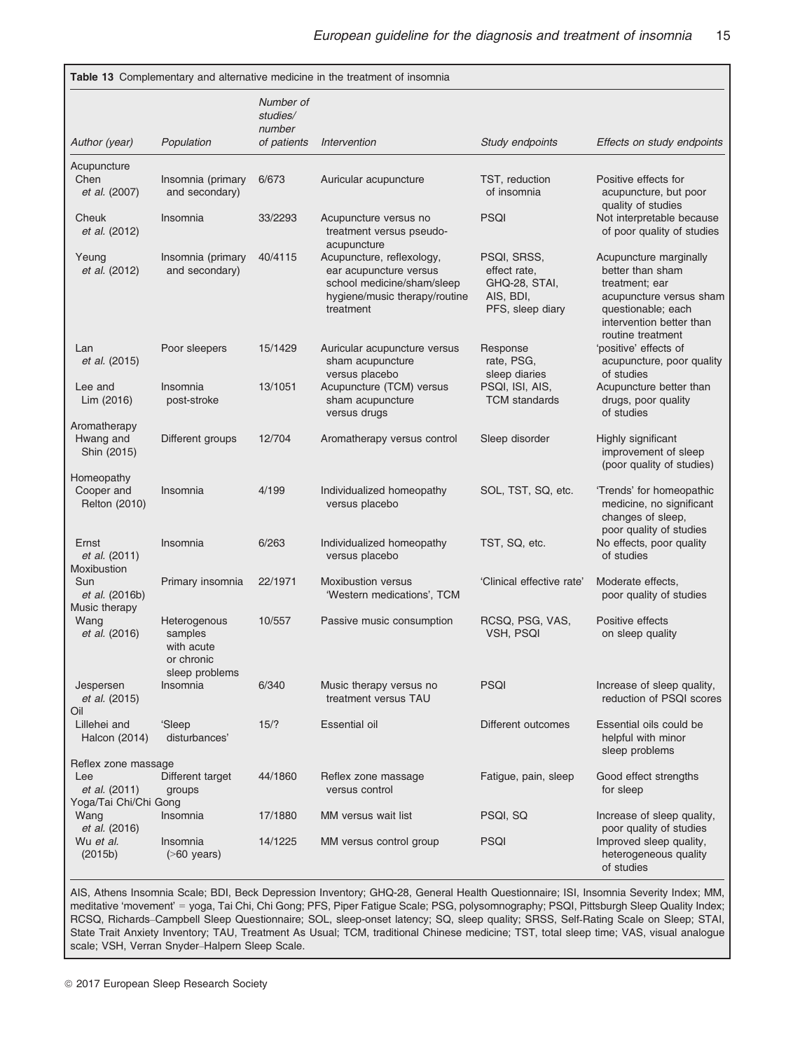|                                                                      |                                                                       |                                 | Table 13 Complementary and alternative medicine in the treatment of insomnia                                                    |                                                                               |                                                                                                                                                                |
|----------------------------------------------------------------------|-----------------------------------------------------------------------|---------------------------------|---------------------------------------------------------------------------------------------------------------------------------|-------------------------------------------------------------------------------|----------------------------------------------------------------------------------------------------------------------------------------------------------------|
|                                                                      |                                                                       | Number of<br>studies/<br>number |                                                                                                                                 |                                                                               |                                                                                                                                                                |
| Author (year)                                                        | Population                                                            | of patients                     | Intervention                                                                                                                    | Study endpoints                                                               | Effects on study endpoints                                                                                                                                     |
| Acupuncture<br>Chen<br>et al. (2007)                                 | Insomnia (primary<br>and secondary)                                   | 6/673                           | Auricular acupuncture                                                                                                           | TST, reduction<br>of insomnia                                                 | Positive effects for<br>acupuncture, but poor<br>quality of studies                                                                                            |
| Cheuk<br>et al. (2012)                                               | Insomnia                                                              | 33/2293                         | Acupuncture versus no<br>treatment versus pseudo-<br>acupuncture                                                                | PSQI                                                                          | Not interpretable because<br>of poor quality of studies                                                                                                        |
| Yeung<br>et al. (2012)                                               | Insomnia (primary<br>and secondary)                                   | 40/4115                         | Acupuncture, reflexology,<br>ear acupuncture versus<br>school medicine/sham/sleep<br>hygiene/music therapy/routine<br>treatment | PSQI, SRSS,<br>effect rate,<br>GHQ-28, STAI,<br>AIS, BDI,<br>PFS, sleep diary | Acupuncture marginally<br>better than sham<br>treatment; ear<br>acupuncture versus sham<br>questionable; each<br>intervention better than<br>routine treatment |
| Lan<br>et al. (2015)                                                 | Poor sleepers                                                         | 15/1429                         | Auricular acupuncture versus<br>sham acupuncture<br>versus placebo                                                              | Response<br>rate, PSG,<br>sleep diaries                                       | 'positive' effects of<br>acupuncture, poor quality<br>of studies                                                                                               |
| Lee and<br>Lim (2016)                                                | Insomnia<br>post-stroke                                               | 13/1051                         | Acupuncture (TCM) versus<br>sham acupuncture<br>versus drugs                                                                    | PSQI, ISI, AIS,<br><b>TCM</b> standards                                       | Acupuncture better than<br>drugs, poor quality<br>of studies                                                                                                   |
| Aromatherapy<br>Hwang and<br>Shin (2015)                             | Different groups                                                      | 12/704                          | Aromatherapy versus control                                                                                                     | Sleep disorder                                                                | Highly significant<br>improvement of sleep<br>(poor quality of studies)                                                                                        |
| Homeopathy<br>Cooper and<br>Relton (2010)                            | Insomnia                                                              | 4/199                           | Individualized homeopathy<br>versus placebo                                                                                     | SOL, TST, SQ, etc.                                                            | 'Trends' for homeopathic<br>medicine, no significant<br>changes of sleep,<br>poor quality of studies                                                           |
| Ernst<br>et al. (2011)<br>Moxibustion                                | Insomnia                                                              | 6/263                           | Individualized homeopathy<br>versus placebo                                                                                     | TST, SQ, etc.                                                                 | No effects, poor quality<br>of studies                                                                                                                         |
| Sun<br>et al. (2016b)<br>Music therapy                               | Primary insomnia                                                      | 22/1971                         | <b>Moxibustion versus</b><br>'Western medications', TCM                                                                         | 'Clinical effective rate'                                                     | Moderate effects,<br>poor quality of studies                                                                                                                   |
| Wang<br>et al. (2016)                                                | Heterogenous<br>samples<br>with acute<br>or chronic<br>sleep problems | 10/557                          | Passive music consumption                                                                                                       | RCSQ, PSG, VAS,<br>VSH, PSQI                                                  | Positive effects<br>on sleep quality                                                                                                                           |
| Jespersen<br>et al. (2015)<br>Oil                                    | Insomnia                                                              | 6/340                           | Music therapy versus no<br>treatment versus TAU                                                                                 | PSQI                                                                          | Increase of sleep quality,<br>reduction of PSQI scores                                                                                                         |
| Lillehei and<br>Halcon (2014)                                        | 'Sleep<br>disturbances'                                               | 15/?                            | Essential oil                                                                                                                   | Different outcomes                                                            | Essential oils could be<br>helpful with minor<br>sleep problems                                                                                                |
| Reflex zone massage<br>Lee<br>et al. (2011)<br>Yoga/Tai Chi/Chi Gong | Different target<br>groups                                            | 44/1860                         | Reflex zone massage<br>versus control                                                                                           | Fatigue, pain, sleep                                                          | Good effect strengths<br>for sleep                                                                                                                             |
| Wang<br>et al. (2016)                                                | Insomnia                                                              | 17/1880                         | MM versus wait list                                                                                                             | PSQI. SQ                                                                      | Increase of sleep quality,<br>poor quality of studies                                                                                                          |
| Wu et al.<br>(2015b)                                                 | Insomnia<br>$($ >60 years)                                            | 14/1225                         | MM versus control group                                                                                                         | PSQI                                                                          | Improved sleep quality,<br>heterogeneous quality<br>of studies                                                                                                 |

AIS, Athens Insomnia Scale; BDI, Beck Depression Inventory; GHQ-28, General Health Questionnaire; ISI, Insomnia Severity Index; MM, meditative 'movement' = yoga, Tai Chi, Chi Gong; PFS, Piper Fatigue Scale; PSG, polysomnography; PSQI, Pittsburgh Sleep Quality Index; RCSQ, Richards–Campbell Sleep Questionnaire; SOL, sleep-onset latency; SQ, sleep quality; SRSS, Self-Rating Scale on Sleep; STAI, State Trait Anxiety Inventory; TAU, Treatment As Usual; TCM, traditional Chinese medicine; TST, total sleep time; VAS, visual analogue scale; VSH, Verran Snyder–Halpern Sleep Scale.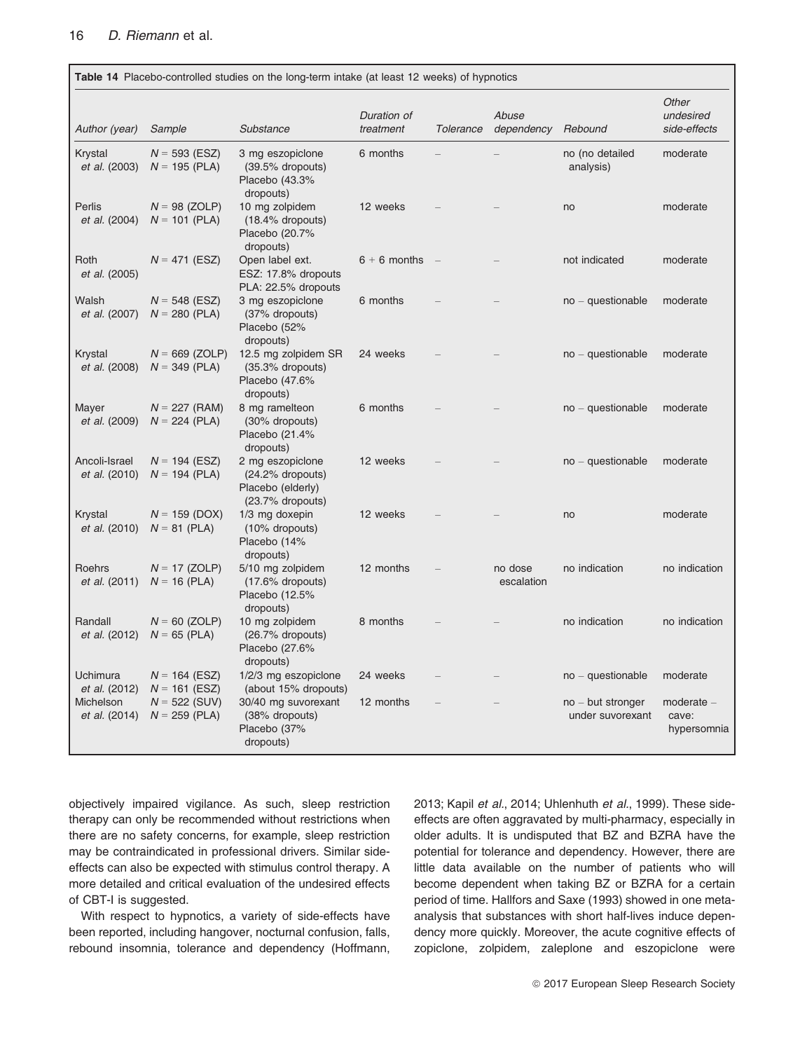|                                   | Table 14 Placebo-controlled studies on the long-term intake (at least 12 weeks) of hypnotics |                                                                               |                          |                          |                       |                                         |                                    |  |
|-----------------------------------|----------------------------------------------------------------------------------------------|-------------------------------------------------------------------------------|--------------------------|--------------------------|-----------------------|-----------------------------------------|------------------------------------|--|
| Author (year)                     | Sample                                                                                       | Substance                                                                     | Duration of<br>treatment | <b>Tolerance</b>         | Abuse<br>dependency   | Rebound                                 | Other<br>undesired<br>side-effects |  |
| Krystal<br>et al. (2003)          | $N = 593$ (ESZ)<br>$N = 195$ (PLA)                                                           | 3 mg eszopiclone<br>$(39.5\%$ dropouts)<br>Placebo (43.3%<br>dropouts)        | 6 months                 |                          |                       | no (no detailed<br>analysis)            | moderate                           |  |
| Perlis<br>et al. (2004)           | $N = 98$ (ZOLP)<br>$N = 101$ (PLA)                                                           | 10 mg zolpidem<br>(18.4% dropouts)<br>Placebo (20.7%<br>dropouts)             | 12 weeks                 |                          |                       | no                                      | moderate                           |  |
| Roth<br>et al. (2005)             | $N = 471$ (ESZ)                                                                              | Open label ext.<br>ESZ: 17.8% dropouts<br>PLA: 22.5% dropouts                 | $6 + 6$ months           | $\overline{\phantom{a}}$ |                       | not indicated                           | moderate                           |  |
| Walsh<br>et al. (2007)            | $N = 548$ (ESZ)<br>$N = 280$ (PLA)                                                           | 3 mg eszopiclone<br>(37% dropouts)<br>Placebo (52%<br>dropouts)               | 6 months                 |                          |                       | $no - questionable$                     | moderate                           |  |
| Krystal<br>et al. (2008)          | $N = 669$ (ZOLP)<br>$N = 349$ (PLA)                                                          | 12.5 mg zolpidem SR<br>$(35.3%$ dropouts)<br>Placebo (47.6%<br>dropouts)      | 24 weeks                 |                          |                       | $no - questionable$                     | moderate                           |  |
| Mayer<br>et al. (2009)            | $N = 227$ (RAM)<br>$N = 224$ (PLA)                                                           | 8 mg ramelteon<br>(30% dropouts)<br>Placebo (21.4%<br>dropouts)               | 6 months                 |                          |                       | $no - questionable$                     | moderate                           |  |
| Ancoli-Israel<br>et al. (2010)    | $N = 194$ (ESZ)<br>$N = 194$ (PLA)                                                           | 2 mg eszopiclone<br>(24.2% dropouts)<br>Placebo (elderly)<br>(23.7% dropouts) | 12 weeks                 |                          |                       | $no - questionable$                     | moderate                           |  |
| Krystal<br>et al. (2010)          | $N = 159$ (DOX)<br>$N = 81$ (PLA)                                                            | 1/3 mg doxepin<br>(10% dropouts)<br>Placebo (14%<br>dropouts)                 | 12 weeks                 |                          |                       | no                                      | moderate                           |  |
| Roehrs<br>et al. (2011)           | $N = 17$ (ZOLP)<br>$N = 16$ (PLA)                                                            | 5/10 mg zolpidem<br>$(17.6\%$ dropouts)<br>Placebo (12.5%<br>dropouts)        | 12 months                |                          | no dose<br>escalation | no indication                           | no indication                      |  |
| Randall<br>et al. (2012)          | $N = 60$ (ZOLP)<br>$N = 65$ (PLA)                                                            | 10 mg zolpidem<br>(26.7% dropouts)<br>Placebo (27.6%<br>dropouts)             | 8 months                 |                          |                       | no indication                           | no indication                      |  |
| Uchimura<br>et al. (2012)         | $N = 164$ (ESZ)<br>$N = 161$ (ESZ)                                                           | 1/2/3 mg eszopiclone<br>(about 15% dropouts)                                  | 24 weeks                 |                          |                       | no - questionable                       | moderate                           |  |
| Michelson<br><i>et al.</i> (2014) | $N = 522$ (SUV)<br>$N = 259$ (PLA)                                                           | 30/40 mg suvorexant<br>(38% dropouts)<br>Placebo (37%<br>dropouts)            | 12 months                |                          |                       | $no$ – but stronger<br>under suvorexant | moderate -<br>cave:<br>hypersomnia |  |

objectively impaired vigilance. As such, sleep restriction therapy can only be recommended without restrictions when there are no safety concerns, for example, sleep restriction may be contraindicated in professional drivers. Similar sideeffects can also be expected with stimulus control therapy. A more detailed and critical evaluation of the undesired effects of CBT-I is suggested.

With respect to hypnotics, a variety of side-effects have been reported, including hangover, nocturnal confusion, falls, rebound insomnia, tolerance and dependency (Hoffmann, 2013; Kapil et al., 2014; Uhlenhuth et al., 1999). These sideeffects are often aggravated by multi-pharmacy, especially in older adults. It is undisputed that BZ and BZRA have the potential for tolerance and dependency. However, there are little data available on the number of patients who will become dependent when taking BZ or BZRA for a certain period of time. Hallfors and Saxe (1993) showed in one metaanalysis that substances with short half-lives induce dependency more quickly. Moreover, the acute cognitive effects of zopiclone, zolpidem, zaleplone and eszopiclone were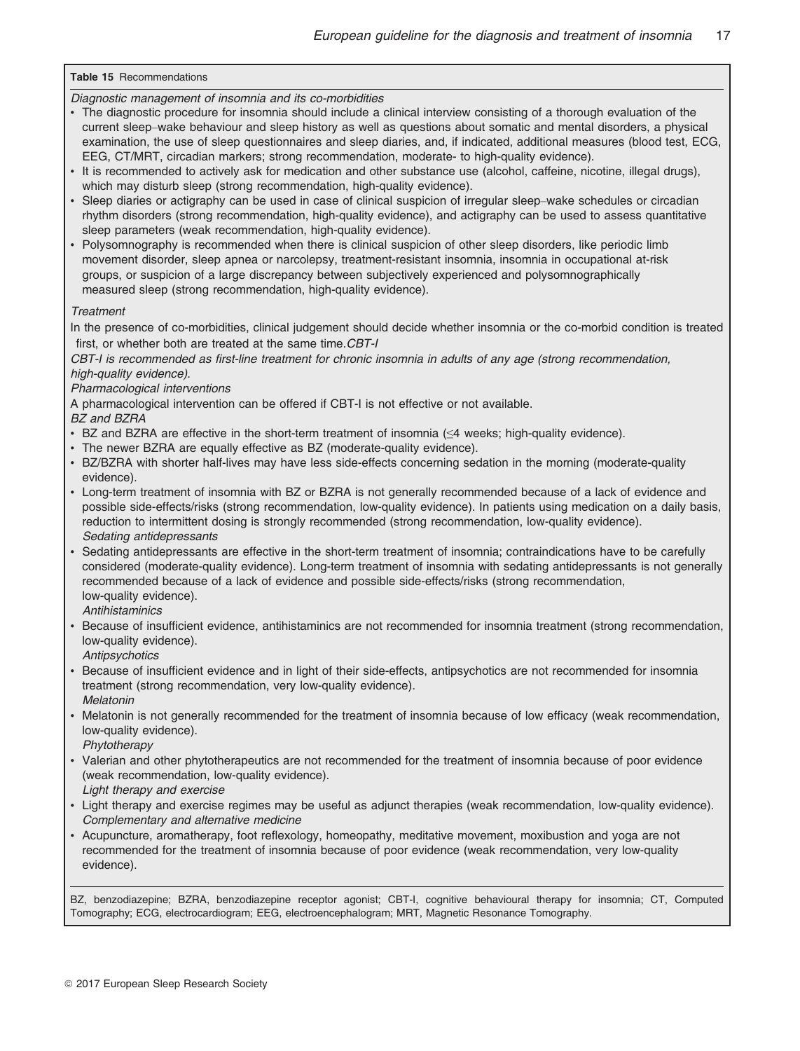## Table 15 Recommendations

Diagnostic management of insomnia and its co-morbidities

- The diagnostic procedure for insomnia should include a clinical interview consisting of a thorough evaluation of the current sleep–wake behaviour and sleep history as well as questions about somatic and mental disorders, a physical examination, the use of sleep questionnaires and sleep diaries, and, if indicated, additional measures (blood test, ECG, EEG, CT/MRT, circadian markers; strong recommendation, moderate- to high-quality evidence).
- It is recommended to actively ask for medication and other substance use (alcohol, caffeine, nicotine, illegal drugs), which may disturb sleep (strong recommendation, high-quality evidence).
- Sleep diaries or actigraphy can be used in case of clinical suspicion of irregular sleep–wake schedules or circadian rhythm disorders (strong recommendation, high-quality evidence), and actigraphy can be used to assess quantitative sleep parameters (weak recommendation, high-quality evidence).
- Polysomnography is recommended when there is clinical suspicion of other sleep disorders, like periodic limb movement disorder, sleep apnea or narcolepsy, treatment-resistant insomnia, insomnia in occupational at-risk groups, or suspicion of a large discrepancy between subjectively experienced and polysomnographically measured sleep (strong recommendation, high-quality evidence).

### **Treatment**

In the presence of co-morbidities, clinical judgement should decide whether insomnia or the co-morbid condition is treated first, or whether both are treated at the same time.CBT-I

CBT-I is recommended as first-line treatment for chronic insomnia in adults of any age (strong recommendation, high-quality evidence).

### Pharmacological interventions

A pharmacological intervention can be offered if CBT-I is not effective or not available.

### BZ and BZRA

- BZ and BZRA are effective in the short-term treatment of insomnia (≤4 weeks; high-quality evidence).
- The newer BZRA are equally effective as BZ (moderate-quality evidence).
- BZ/BZRA with shorter half-lives may have less side-effects concerning sedation in the morning (moderate-quality evidence).
- Long-term treatment of insomnia with BZ or BZRA is not generally recommended because of a lack of evidence and possible side-effects/risks (strong recommendation, low-quality evidence). In patients using medication on a daily basis, reduction to intermittent dosing is strongly recommended (strong recommendation, low-quality evidence). Sedating antidepressants
- Sedating antidepressants are effective in the short-term treatment of insomnia; contraindications have to be carefully considered (moderate-quality evidence). Long-term treatment of insomnia with sedating antidepressants is not generally recommended because of a lack of evidence and possible side-effects/risks (strong recommendation, low-quality evidence).

**Antihistaminics** 

- Because of insufficient evidence, antihistaminics are not recommended for insomnia treatment (strong recommendation, low-quality evidence).
- **Antipsychotics**
- Because of insufficient evidence and in light of their side-effects, antipsychotics are not recommended for insomnia treatment (strong recommendation, very low-quality evidence). Melatonin
- Melatonin is not generally recommended for the treatment of insomnia because of low efficacy (weak recommendation, low-quality evidence).
- **Phytotherapy**
- Valerian and other phytotherapeutics are not recommended for the treatment of insomnia because of poor evidence (weak recommendation, low-quality evidence).
- Light therapy and exercise
- Light therapy and exercise regimes may be useful as adjunct therapies (weak recommendation, low-quality evidence). Complementary and alternative medicine
- Acupuncture, aromatherapy, foot reflexology, homeopathy, meditative movement, moxibustion and yoga are not recommended for the treatment of insomnia because of poor evidence (weak recommendation, very low-quality evidence).

BZ, benzodiazepine; BZRA, benzodiazepine receptor agonist; CBT-I, cognitive behavioural therapy for insomnia; CT, Computed Tomography; ECG, electrocardiogram; EEG, electroencephalogram; MRT, Magnetic Resonance Tomography.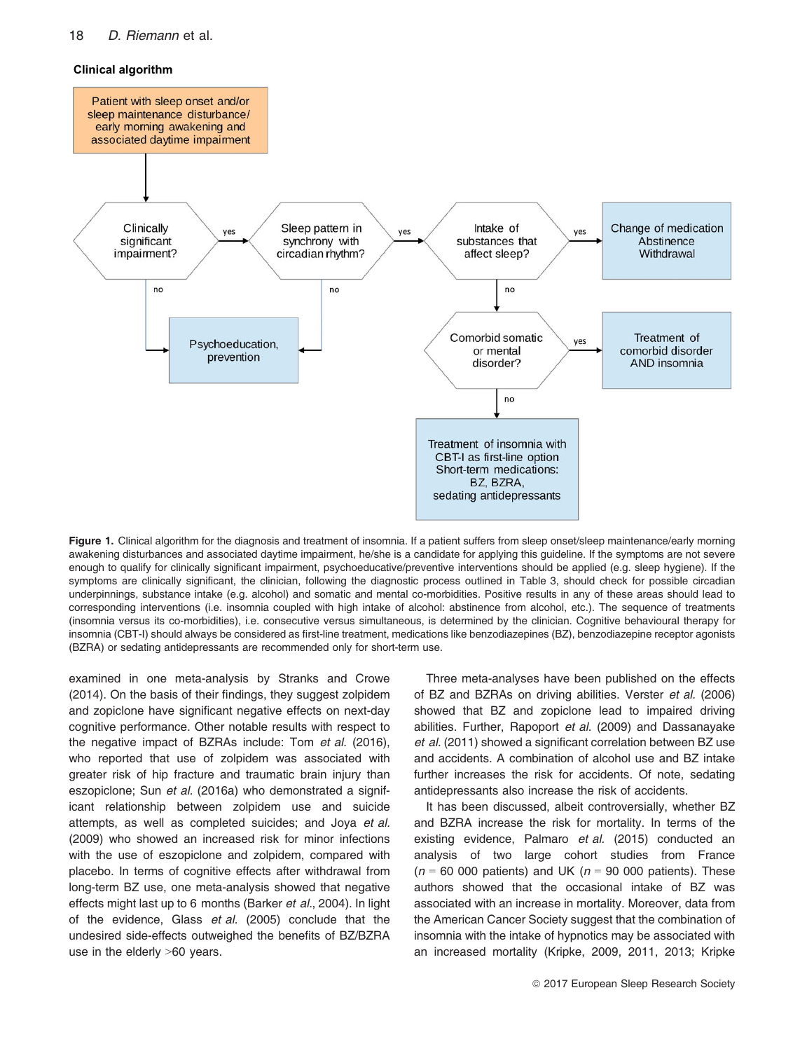### 18 D. Riemann et al.



Figure 1. Clinical algorithm for the diagnosis and treatment of insomnia. If a patient suffers from sleep onset/sleep maintenance/early morning awakening disturbances and associated daytime impairment, he/she is a candidate for applying this guideline. If the symptoms are not severe enough to qualify for clinically significant impairment, psychoeducative/preventive interventions should be applied (e.g. sleep hygiene). If the symptoms are clinically significant, the clinician, following the diagnostic process outlined in Table 3, should check for possible circadian underpinnings, substance intake (e.g. alcohol) and somatic and mental co-morbidities. Positive results in any of these areas should lead to corresponding interventions (i.e. insomnia coupled with high intake of alcohol: abstinence from alcohol, etc.). The sequence of treatments (insomnia versus its co-morbidities), i.e. consecutive versus simultaneous, is determined by the clinician. Cognitive behavioural therapy for insomnia (CBT-I) should always be considered as first-line treatment, medications like benzodiazepines (BZ), benzodiazepine receptor agonists (BZRA) or sedating antidepressants are recommended only for short-term use.

examined in one meta-analysis by Stranks and Crowe (2014). On the basis of their findings, they suggest zolpidem and zopiclone have significant negative effects on next-day cognitive performance. Other notable results with respect to the negative impact of BZRAs include: Tom et al. (2016), who reported that use of zolpidem was associated with greater risk of hip fracture and traumatic brain injury than eszopiclone; Sun et al. (2016a) who demonstrated a significant relationship between zolpidem use and suicide attempts, as well as completed suicides; and Joya et al. (2009) who showed an increased risk for minor infections with the use of eszopiclone and zolpidem, compared with placebo. In terms of cognitive effects after withdrawal from long-term BZ use, one meta-analysis showed that negative effects might last up to 6 months (Barker et al., 2004). In light of the evidence, Glass et al. (2005) conclude that the undesired side-effects outweighed the benefits of BZ/BZRA use in the elderly >60 years.

Three meta-analyses have been published on the effects of BZ and BZRAs on driving abilities. Verster et al. (2006) showed that BZ and zopiclone lead to impaired driving abilities. Further, Rapoport et al. (2009) and Dassanayake et al. (2011) showed a significant correlation between BZ use and accidents. A combination of alcohol use and BZ intake further increases the risk for accidents. Of note, sedating antidepressants also increase the risk of accidents.

It has been discussed, albeit controversially, whether BZ and BZRA increase the risk for mortality. In terms of the existing evidence, Palmaro et al. (2015) conducted an analysis of two large cohort studies from France  $(n = 60 000$  patients) and UK ( $n = 90 000$  patients). These authors showed that the occasional intake of BZ was associated with an increase in mortality. Moreover, data from the American Cancer Society suggest that the combination of insomnia with the intake of hypnotics may be associated with an increased mortality (Kripke, 2009, 2011, 2013; Kripke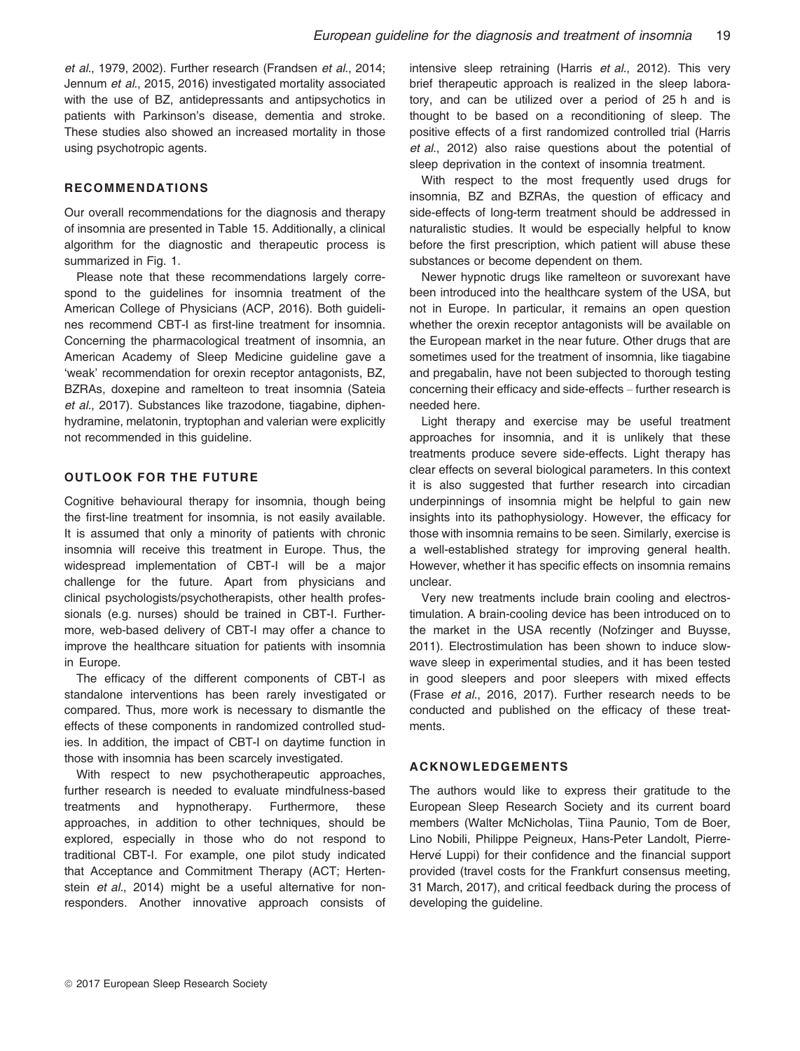et al., 1979, 2002). Further research (Frandsen et al., 2014; Jennum et al., 2015, 2016) investigated mortality associated with the use of BZ, antidepressants and antipsychotics in patients with Parkinson's disease, dementia and stroke. These studies also showed an increased mortality in those using psychotropic agents.

# **RECOMMENDATIONS**

Our overall recommendations for the diagnosis and therapy of insomnia are presented in Table 15. Additionally, a clinical algorithm for the diagnostic and therapeutic process is summarized in Fig. 1.

Please note that these recommendations largely correspond to the guidelines for insomnia treatment of the American College of Physicians (ACP, 2016). Both guidelines recommend CBT-I as first-line treatment for insomnia. Concerning the pharmacological treatment of insomnia, an American Academy of Sleep Medicine guideline gave a 'weak' recommendation for orexin receptor antagonists, BZ, BZRAs, doxepine and ramelteon to treat insomnia (Sateia et al., 2017). Substances like trazodone, tiagabine, diphenhydramine, melatonin, tryptophan and valerian were explicitly not recommended in this guideline.

# OUTLOOK FOR THE FUTURE

Cognitive behavioural therapy for insomnia, though being the first-line treatment for insomnia, is not easily available. It is assumed that only a minority of patients with chronic insomnia will receive this treatment in Europe. Thus, the widespread implementation of CBT-I will be a major challenge for the future. Apart from physicians and clinical psychologists/psychotherapists, other health professionals (e.g. nurses) should be trained in CBT-I. Furthermore, web-based delivery of CBT-I may offer a chance to improve the healthcare situation for patients with insomnia in Europe.

The efficacy of the different components of CBT-I as standalone interventions has been rarely investigated or compared. Thus, more work is necessary to dismantle the effects of these components in randomized controlled studies. In addition, the impact of CBT-I on daytime function in those with insomnia has been scarcely investigated.

With respect to new psychotherapeutic approaches, further research is needed to evaluate mindfulness-based treatments and hypnotherapy. Furthermore, these approaches, in addition to other techniques, should be explored, especially in those who do not respond to traditional CBT-I. For example, one pilot study indicated that Acceptance and Commitment Therapy (ACT; Hertenstein *et al.*, 2014) might be a useful alternative for nonresponders. Another innovative approach consists of intensive sleep retraining (Harris et al., 2012). This very brief therapeutic approach is realized in the sleep laboratory, and can be utilized over a period of 25 h and is thought to be based on a reconditioning of sleep. The positive effects of a first randomized controlled trial (Harris et al., 2012) also raise questions about the potential of sleep deprivation in the context of insomnia treatment.

With respect to the most frequently used drugs for insomnia, BZ and BZRAs, the question of efficacy and side-effects of long-term treatment should be addressed in naturalistic studies. It would be especially helpful to know before the first prescription, which patient will abuse these substances or become dependent on them.

Newer hypnotic drugs like ramelteon or suvorexant have been introduced into the healthcare system of the USA, but not in Europe. In particular, it remains an open question whether the orexin receptor antagonists will be available on the European market in the near future. Other drugs that are sometimes used for the treatment of insomnia, like tiagabine and pregabalin, have not been subjected to thorough testing concerning their efficacy and side-effects – further research is needed here.

Light therapy and exercise may be useful treatment approaches for insomnia, and it is unlikely that these treatments produce severe side-effects. Light therapy has clear effects on several biological parameters. In this context it is also suggested that further research into circadian underpinnings of insomnia might be helpful to gain new insights into its pathophysiology. However, the efficacy for those with insomnia remains to be seen. Similarly, exercise is a well-established strategy for improving general health. However, whether it has specific effects on insomnia remains unclear.

Very new treatments include brain cooling and electrostimulation. A brain-cooling device has been introduced on to the market in the USA recently (Nofzinger and Buysse, 2011). Electrostimulation has been shown to induce slowwave sleep in experimental studies, and it has been tested in good sleepers and poor sleepers with mixed effects (Frase et al., 2016, 2017). Further research needs to be conducted and published on the efficacy of these treatments.

# ACKNOWLEDGEMENTS

The authors would like to express their gratitude to the European Sleep Research Society and its current board members (Walter McNicholas, Tiina Paunio, Tom de Boer, Lino Nobili, Philippe Peigneux, Hans-Peter Landolt, Pierre-Hervé Luppi) for their confidence and the financial support provided (travel costs for the Frankfurt consensus meeting, 31 March, 2017), and critical feedback during the process of developing the guideline.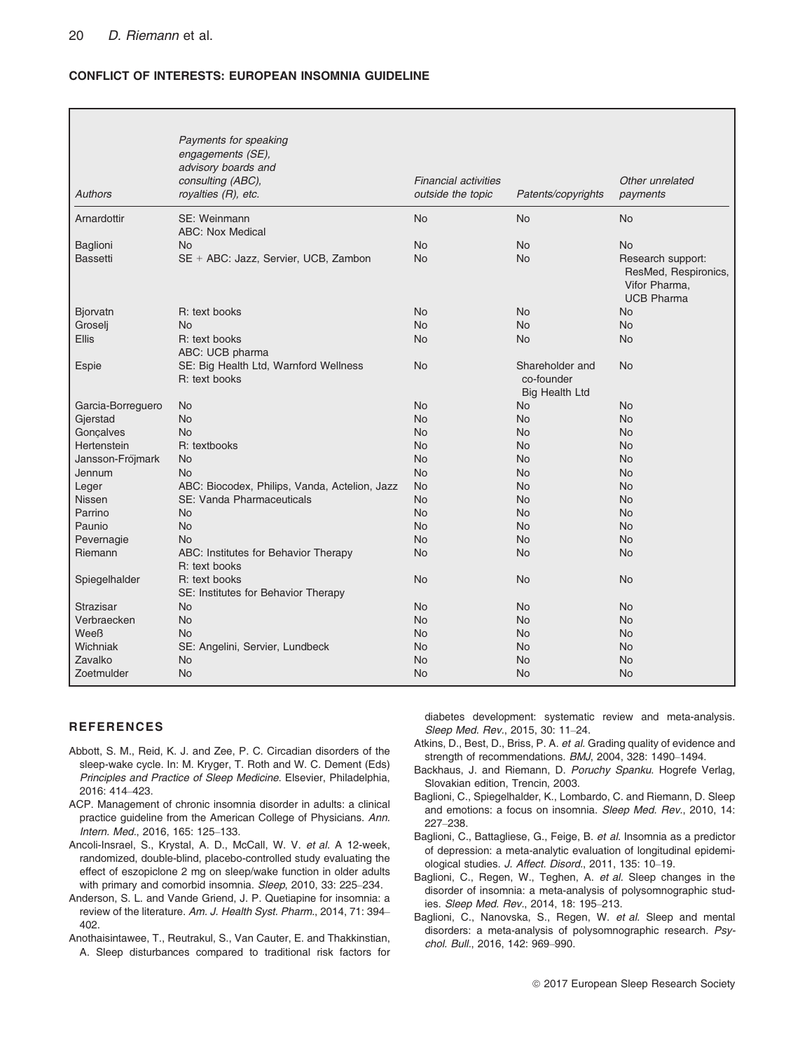# CONFLICT OF INTERESTS: EUROPEAN INSOMNIA GUIDELINE

| <b>Authors</b>    | Payments for speaking<br>engagements (SE),<br>advisory boards and<br>consulting (ABC),<br>royalties (R), etc. | <b>Financial activities</b><br>outside the topic | Patents/copyrights                                     | Other unrelated<br>payments                                                     |
|-------------------|---------------------------------------------------------------------------------------------------------------|--------------------------------------------------|--------------------------------------------------------|---------------------------------------------------------------------------------|
| Arnardottir       | SE: Weinmann                                                                                                  | <b>No</b>                                        | <b>No</b>                                              | <b>No</b>                                                                       |
|                   | <b>ABC: Nox Medical</b>                                                                                       |                                                  |                                                        |                                                                                 |
| Baglioni          | <b>No</b>                                                                                                     | <b>No</b>                                        | <b>No</b>                                              | <b>No</b>                                                                       |
| <b>Bassetti</b>   | SE + ABC: Jazz, Servier, UCB, Zambon                                                                          | <b>No</b>                                        | <b>No</b>                                              | Research support:<br>ResMed, Respironics,<br>Vifor Pharma,<br><b>UCB Pharma</b> |
| Bjorvatn          | R: text books                                                                                                 | <b>No</b>                                        | <b>No</b>                                              | <b>No</b>                                                                       |
| Groselj           | <b>No</b>                                                                                                     | <b>No</b>                                        | No                                                     | No                                                                              |
| <b>Ellis</b>      | R: text books                                                                                                 | <b>No</b>                                        | No                                                     | <b>No</b>                                                                       |
|                   | ABC: UCB pharma                                                                                               |                                                  |                                                        |                                                                                 |
| Espie             | SE: Big Health Ltd, Warnford Wellness<br>R: text books                                                        | <b>No</b>                                        | Shareholder and<br>co-founder<br><b>Big Health Ltd</b> | <b>No</b>                                                                       |
| Garcia-Borreguero | <b>No</b>                                                                                                     | <b>No</b>                                        | <b>No</b>                                              | N <sub>o</sub>                                                                  |
| Gjerstad          | <b>No</b>                                                                                                     | <b>No</b>                                        | <b>No</b>                                              | <b>No</b>                                                                       |
| Goncalves         | <b>No</b>                                                                                                     | <b>No</b>                                        | N <sub>o</sub>                                         | <b>No</b>                                                                       |
| Hertenstein       | R: textbooks                                                                                                  | <b>No</b>                                        | <b>No</b>                                              | <b>No</b>                                                                       |
| Jansson-Fröjmark  | <b>No</b>                                                                                                     | <b>No</b>                                        | <b>No</b>                                              | <b>No</b>                                                                       |
| Jennum            | <b>No</b>                                                                                                     | <b>No</b>                                        | No                                                     | <b>No</b>                                                                       |
| Leger             | ABC: Biocodex, Philips, Vanda, Actelion, Jazz                                                                 | <b>No</b>                                        | N <sub>o</sub>                                         | <b>No</b>                                                                       |
| <b>Nissen</b>     | SE: Vanda Pharmaceuticals                                                                                     | <b>No</b>                                        | N <sub>o</sub>                                         | <b>No</b>                                                                       |
| Parrino           | <b>No</b>                                                                                                     | <b>No</b>                                        | No.                                                    | <b>No</b>                                                                       |
| Paunio            | <b>No</b>                                                                                                     | <b>No</b>                                        | <b>No</b>                                              | <b>No</b>                                                                       |
| Pevernagie        | <b>No</b>                                                                                                     | <b>No</b>                                        | N <sub>o</sub>                                         | <b>No</b>                                                                       |
| Riemann           | ABC: Institutes for Behavior Therapy<br>R: text books                                                         | <b>No</b>                                        | <b>No</b>                                              | <b>No</b>                                                                       |
| Spiegelhalder     | R: text books<br>SE: Institutes for Behavior Therapy                                                          | <b>No</b>                                        | <b>No</b>                                              | No                                                                              |
| Strazisar         | <b>No</b>                                                                                                     | <b>No</b>                                        | <b>No</b>                                              | N <sub>o</sub>                                                                  |
| Verbraecken       | <b>No</b>                                                                                                     | <b>No</b>                                        | No.                                                    | <b>No</b>                                                                       |
| Weeß              | <b>No</b>                                                                                                     | <b>No</b>                                        | <b>No</b>                                              | No                                                                              |
| Wichniak          | SE: Angelini, Servier, Lundbeck                                                                               | <b>No</b>                                        | <b>No</b>                                              | No                                                                              |
| Zavalko           | <b>No</b>                                                                                                     | <b>No</b>                                        | <b>No</b>                                              | <b>No</b>                                                                       |
| Zoetmulder        | <b>No</b>                                                                                                     | <b>No</b>                                        | <b>No</b>                                              | No                                                                              |

#### **REFERENCES**

- Abbott, S. M., Reid, K. J. and Zee, P. C. Circadian disorders of the sleep-wake cycle. In: M. Kryger, T. Roth and W. C. Dement (Eds) Principles and Practice of Sleep Medicine. Elsevier, Philadelphia, 2016: 414–423.
- ACP. Management of chronic insomnia disorder in adults: a clinical practice guideline from the American College of Physicians. Ann. Intern. Med., 2016, 165: 125–133.
- Ancoli-Insrael, S., Krystal, A. D., McCall, W. V. et al. A 12-week, randomized, double-blind, placebo-controlled study evaluating the effect of eszopiclone 2 mg on sleep/wake function in older adults with primary and comorbid insomnia. Sleep, 2010, 33: 225–234.
- Anderson, S. L. and Vande Griend, J. P. Quetiapine for insomnia: a review of the literature. Am. J. Health Syst. Pharm., 2014, 71: 394– 402.
- Anothaisintawee, T., Reutrakul, S., Van Cauter, E. and Thakkinstian, A. Sleep disturbances compared to traditional risk factors for

diabetes development: systematic review and meta-analysis. Sleep Med. Rev., 2015, 30: 11–24.

- Atkins, D., Best, D., Briss, P. A. et al. Grading quality of evidence and strength of recommendations. BMJ, 2004, 328: 1490–1494.
- Backhaus, J. and Riemann, D. Poruchy Spanku. Hogrefe Verlag, Slovakian edition, Trencin, 2003.
- Baglioni, C., Spiegelhalder, K., Lombardo, C. and Riemann, D. Sleep and emotions: a focus on insomnia. Sleep Med. Rev., 2010, 14: 227–238.
- Baglioni, C., Battagliese, G., Feige, B. et al. Insomnia as a predictor of depression: a meta-analytic evaluation of longitudinal epidemiological studies. J. Affect. Disord., 2011, 135: 10–19.
- Baglioni, C., Regen, W., Teghen, A. et al. Sleep changes in the disorder of insomnia: a meta-analysis of polysomnographic studies. Sleep Med. Rev., 2014, 18: 195–213.
- Baglioni, C., Nanovska, S., Regen, W. et al. Sleep and mental disorders: a meta-analysis of polysomnographic research. Psychol. Bull., 2016, 142: 969–990.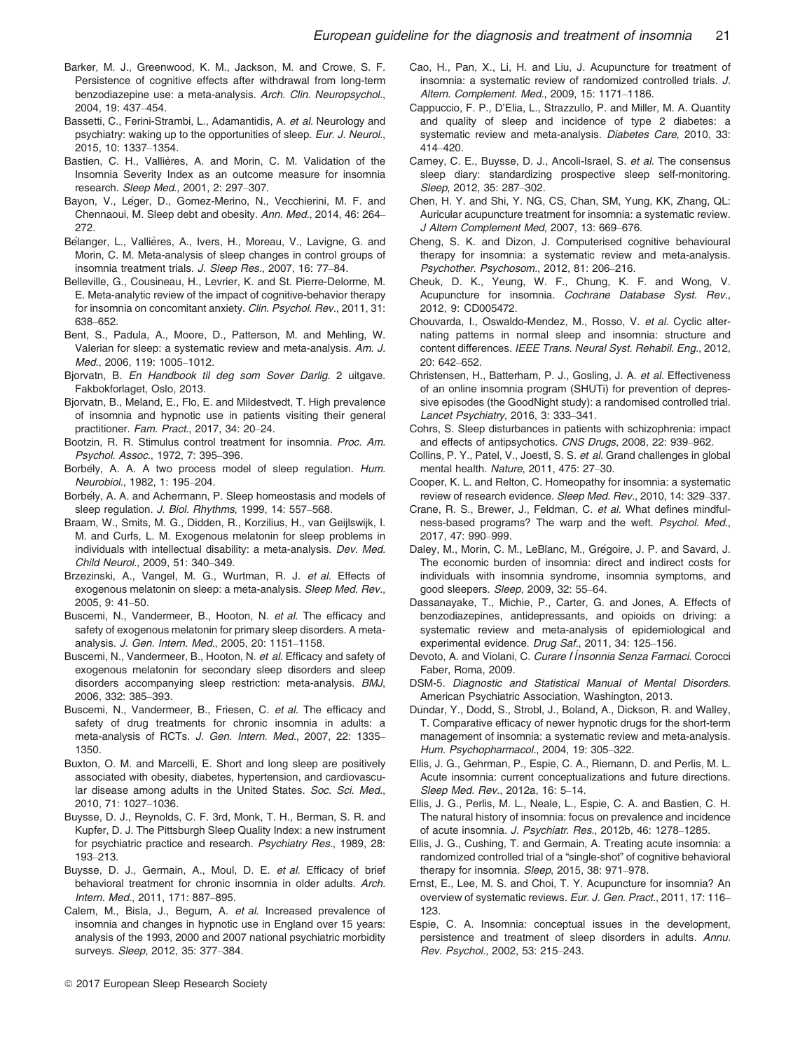- Barker, M. J., Greenwood, K. M., Jackson, M. and Crowe, S. F. Persistence of cognitive effects after withdrawal from long-term benzodiazepine use: a meta-analysis. Arch. Clin. Neuropsychol., 2004, 19: 437–454.
- Bassetti, C., Ferini-Strambi, L., Adamantidis, A. et al. Neurology and psychiatry: waking up to the opportunities of sleep. Eur. J. Neurol., 2015, 10: 1337–1354.
- Bastien, C. H., Vallières, A. and Morin, C. M. Validation of the Insomnia Severity Index as an outcome measure for insomnia research. Sleep Med., 2001, 2: 297–307.
- Bayon, V., Léger, D., Gomez-Merino, N., Vecchierini, M. F. and Chennaoui, M. Sleep debt and obesity. Ann. Med., 2014, 46: 264– 272.
- Bélanger, L., Vallières, A., Ivers, H., Moreau, V., Lavigne, G. and Morin, C. M. Meta-analysis of sleep changes in control groups of insomnia treatment trials. J. Sleep Res., 2007, 16: 77–84.
- Belleville, G., Cousineau, H., Levrier, K. and St. Pierre-Delorme, M. E. Meta-analytic review of the impact of cognitive-behavior therapy for insomnia on concomitant anxiety. Clin. Psychol. Rev., 2011, 31: 638–652.
- Bent, S., Padula, A., Moore, D., Patterson, M. and Mehling, W. Valerian for sleep: a systematic review and meta-analysis. Am. J. Med., 2006, 119: 1005–1012.
- Bjorvatn, B. En Handbook til deg som Sover Darlig. 2 uitgave. Fakbokforlaget, Oslo, 2013.
- Bjorvatn, B., Meland, E., Flo, E. and Mildestvedt, T. High prevalence of insomnia and hypnotic use in patients visiting their general practitioner. Fam. Pract., 2017, 34: 20–24.
- Bootzin, R. R. Stimulus control treatment for insomnia. Proc. Am. Psychol. Assoc., 1972, 7: 395–396.
- Borbely, A. A. A two process model of sleep regulation. Hum. Neurobiol., 1982, 1: 195–204.
- Borbely, A. A. and Achermann, P. Sleep homeostasis and models of sleep regulation. J. Biol. Rhythms, 1999, 14: 557-568.
- Braam, W., Smits, M. G., Didden, R., Korzilius, H., van Geijlswijk, I. M. and Curfs, L. M. Exogenous melatonin for sleep problems in individuals with intellectual disability: a meta-analysis. Dev. Med. Child Neurol., 2009, 51: 340–349.
- Brzezinski, A., Vangel, M. G., Wurtman, R. J. et al. Effects of exogenous melatonin on sleep: a meta-analysis. Sleep Med. Rev., 2005, 9: 41–50.
- Buscemi, N., Vandermeer, B., Hooton, N. et al. The efficacy and safety of exogenous melatonin for primary sleep disorders. A metaanalysis. J. Gen. Intern. Med., 2005, 20: 1151–1158.
- Buscemi, N., Vandermeer, B., Hooton, N. et al. Efficacy and safety of exogenous melatonin for secondary sleep disorders and sleep disorders accompanying sleep restriction: meta-analysis. BMJ, 2006, 332: 385–393.
- Buscemi, N., Vandermeer, B., Friesen, C. et al. The efficacy and safety of drug treatments for chronic insomnia in adults: a meta-analysis of RCTs. J. Gen. Intern. Med., 2007, 22: 1335– 1350.
- Buxton, O. M. and Marcelli, E. Short and long sleep are positively associated with obesity, diabetes, hypertension, and cardiovascular disease among adults in the United States. Soc. Sci. Med., 2010, 71: 1027–1036.
- Buysse, D. J., Reynolds, C. F. 3rd, Monk, T. H., Berman, S. R. and Kupfer, D. J. The Pittsburgh Sleep Quality Index: a new instrument for psychiatric practice and research. Psychiatry Res., 1989, 28: 193–213.
- Buysse, D. J., Germain, A., Moul, D. E. et al. Efficacy of brief behavioral treatment for chronic insomnia in older adults. Arch. Intern. Med., 2011, 171: 887–895.
- Calem, M., Bisla, J., Begum, A. et al. Increased prevalence of insomnia and changes in hypnotic use in England over 15 years: analysis of the 1993, 2000 and 2007 national psychiatric morbidity surveys. Sleep, 2012, 35: 377–384.
- <sup>©</sup> 2017 European Sleep Research Society
- Cao, H., Pan, X., Li, H. and Liu, J. Acupuncture for treatment of insomnia: a systematic review of randomized controlled trials. J. Altern. Complement. Med., 2009, 15: 1171–1186.
- Cappuccio, F. P., D'Elia, L., Strazzullo, P. and Miller, M. A. Quantity and quality of sleep and incidence of type 2 diabetes: a systematic review and meta-analysis. Diabetes Care, 2010, 33: 414–420.
- Carney, C. E., Buysse, D. J., Ancoli-Israel, S. et al. The consensus sleep diary: standardizing prospective sleep self-monitoring. Sleep, 2012, 35: 287–302.
- Chen, H. Y. and Shi, Y. NG, CS, Chan, SM, Yung, KK, Zhang, QL: Auricular acupuncture treatment for insomnia: a systematic review. J Altern Complement Med, 2007, 13: 669–676.
- Cheng, S. K. and Dizon, J. Computerised cognitive behavioural therapy for insomnia: a systematic review and meta-analysis. Psychother. Psychosom., 2012, 81: 206–216.
- Cheuk, D. K., Yeung, W. F., Chung, K. F. and Wong, V. Acupuncture for insomnia. Cochrane Database Syst. Rev., 2012, 9: CD005472.
- Chouvarda, I., Oswaldo-Mendez, M., Rosso, V. et al. Cyclic alternating patterns in normal sleep and insomnia: structure and content differences. IEEE Trans. Neural Syst. Rehabil. Eng., 2012, 20: 642–652.
- Christensen, H., Batterham, P. J., Gosling, J. A. et al. Effectiveness of an online insomnia program (SHUTi) for prevention of depressive episodes (the GoodNight study): a randomised controlled trial. Lancet Psychiatry, 2016, 3: 333–341.
- Cohrs, S. Sleep disturbances in patients with schizophrenia: impact and effects of antipsychotics. CNS Drugs, 2008, 22: 939–962.
- Collins, P. Y., Patel, V., Joestl, S. S. et al. Grand challenges in global mental health. Nature, 2011, 475: 27–30.
- Cooper, K. L. and Relton, C. Homeopathy for insomnia: a systematic review of research evidence. Sleep Med. Rev., 2010, 14: 329–337.
- Crane, R. S., Brewer, J., Feldman, C. et al. What defines mindfulness-based programs? The warp and the weft. Psychol. Med., 2017, 47: 990–999.
- Daley, M., Morin, C. M., LeBlanc, M., Grégoire, J. P. and Savard, J. The economic burden of insomnia: direct and indirect costs for individuals with insomnia syndrome, insomnia symptoms, and good sleepers. Sleep, 2009, 32: 55–64.
- Dassanayake, T., Michie, P., Carter, G. and Jones, A. Effects of benzodiazepines, antidepressants, and opioids on driving: a systematic review and meta-analysis of epidemiological and experimental evidence. Drug Saf., 2011, 34: 125-156.
- Devoto, A. and Violani, C. Curare l Ínsonnia Senza Farmaci. Corocci Faber, Roma, 2009.
- DSM-5. Diagnostic and Statistical Manual of Mental Disorders. American Psychiatric Association, Washington, 2013.
- Dündar, Y., Dodd, S., Strobl, J., Boland, A., Dickson, R. and Walley, T. Comparative efficacy of newer hypnotic drugs for the short-term management of insomnia: a systematic review and meta-analysis. Hum. Psychopharmacol., 2004, 19: 305–322.
- Ellis, J. G., Gehrman, P., Espie, C. A., Riemann, D. and Perlis, M. L. Acute insomnia: current conceptualizations and future directions. Sleep Med. Rev., 2012a, 16: 5–14.
- Ellis, J. G., Perlis, M. L., Neale, L., Espie, C. A. and Bastien, C. H. The natural history of insomnia: focus on prevalence and incidence of acute insomnia. J. Psychiatr. Res., 2012b, 46: 1278–1285.
- Ellis, J. G., Cushing, T. and Germain, A. Treating acute insomnia: a randomized controlled trial of a "single-shot" of cognitive behavioral therapy for insomnia. Sleep, 2015, 38: 971–978.
- Ernst, E., Lee, M. S. and Choi, T. Y. Acupuncture for insomnia? An overview of systematic reviews. Eur. J. Gen. Pract., 2011, 17: 116– 123.
- Espie, C. A. Insomnia: conceptual issues in the development, persistence and treatment of sleep disorders in adults. Annu. Rev. Psychol., 2002, 53: 215–243.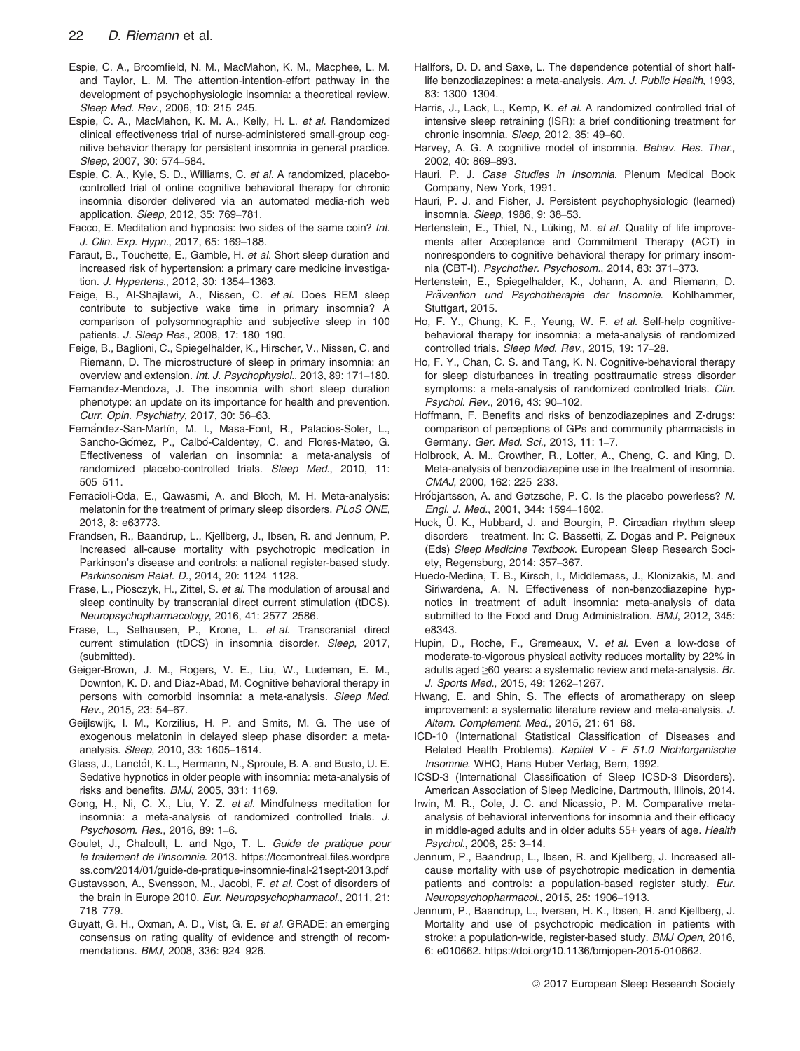- Espie, C. A., Broomfield, N. M., MacMahon, K. M., Macphee, L. M. and Taylor, L. M. The attention-intention-effort pathway in the development of psychophysiologic insomnia: a theoretical review. Sleep Med. Rev., 2006, 10: 215–245.
- Espie, C. A., MacMahon, K. M. A., Kelly, H. L. et al. Randomized clinical effectiveness trial of nurse-administered small-group cognitive behavior therapy for persistent insomnia in general practice. Sleep, 2007, 30: 574–584.
- Espie, C. A., Kyle, S. D., Williams, C. et al. A randomized, placebocontrolled trial of online cognitive behavioral therapy for chronic insomnia disorder delivered via an automated media-rich web application. Sleep, 2012, 35: 769–781.
- Facco, E. Meditation and hypnosis: two sides of the same coin? Int. J. Clin. Exp. Hypn., 2017, 65: 169–188.
- Faraut, B., Touchette, E., Gamble, H. et al. Short sleep duration and increased risk of hypertension: a primary care medicine investigation. J. Hypertens., 2012, 30: 1354–1363.
- Feige, B., Al-Shajlawi, A., Nissen, C. et al. Does REM sleep contribute to subjective wake time in primary insomnia? A comparison of polysomnographic and subjective sleep in 100 patients. J. Sleep Res., 2008, 17: 180–190.
- Feige, B., Baglioni, C., Spiegelhalder, K., Hirscher, V., Nissen, C. and Riemann, D. The microstructure of sleep in primary insomnia: an overview and extension. Int. J. Psychophysiol., 2013, 89: 171–180.
- Fernandez-Mendoza, J. The insomnia with short sleep duration phenotype: an update on its importance for health and prevention. Curr. Opin. Psychiatry, 2017, 30: 56–63.
- Fernández-San-Martín, M. I., Masa-Font, R., Palacios-Soler, L., Sancho-Gómez, P., Calbó-Caldentey, C. and Flores-Mateo, G. Effectiveness of valerian on insomnia: a meta-analysis of randomized placebo-controlled trials. Sleep Med., 2010, 11: 505–511.
- Ferracioli-Oda, E., Qawasmi, A. and Bloch, M. H. Meta-analysis: melatonin for the treatment of primary sleep disorders. PLoS ONE, 2013, 8: e63773.
- Frandsen, R., Baandrup, L., Kjellberg, J., Ibsen, R. and Jennum, P. Increased all-cause mortality with psychotropic medication in Parkinson's disease and controls: a national register-based study. Parkinsonism Relat. D., 2014, 20: 1124–1128.
- Frase, L., Piosczyk, H., Zittel, S. et al. The modulation of arousal and sleep continuity by transcranial direct current stimulation (tDCS). Neuropsychopharmacology, 2016, 41: 2577–2586.
- Frase, L., Selhausen, P., Krone, L. et al. Transcranial direct current stimulation (tDCS) in insomnia disorder. Sleep, 2017, (submitted).
- Geiger-Brown, J. M., Rogers, V. E., Liu, W., Ludeman, E. M., Downton, K. D. and Diaz-Abad, M. Cognitive behavioral therapy in persons with comorbid insomnia: a meta-analysis. Sleep Med. Rev., 2015, 23: 54–67.
- Geijlswijk, I. M., Korzilius, H. P. and Smits, M. G. The use of exogenous melatonin in delayed sleep phase disorder: a metaanalysis. Sleep, 2010, 33: 1605–1614.
- Glass, J., Lanctôt, K. L., Hermann, N., Sproule, B. A. and Busto, U. E. Sedative hypnotics in older people with insomnia: meta-analysis of risks and benefits. BMJ, 2005, 331: 1169.
- Gong, H., Ni, C. X., Liu, Y. Z. et al. Mindfulness meditation for insomnia: a meta-analysis of randomized controlled trials. J. Psychosom. Res., 2016, 89: 1–6.
- Goulet, J., Chaloult, L. and Ngo, T. L. Guide de pratique pour le traitement de l'insomnie. 2013. [https://tccmontreal.files.wordpre](https://tccmontreal.files.wordpress.com/2014/01/guide-de-pratique-insomnie-final-21sept-2013.pdf) [ss.com/2014/01/guide-de-pratique-insomnie-](https://tccmontreal.files.wordpress.com/2014/01/guide-de-pratique-insomnie-final-21sept-2013.pdf)final-21sept-2013.pdf
- Gustavsson, A., Svensson, M., Jacobi, F. et al. Cost of disorders of the brain in Europe 2010. Eur. Neuropsychopharmacol., 2011, 21: 718–779.
- Guyatt, G. H., Oxman, A. D., Vist, G. E. et al. GRADE: an emerging consensus on rating quality of evidence and strength of recommendations. BMJ, 2008, 336: 924–926.
- Hallfors, D. D. and Saxe, L. The dependence potential of short halflife benzodiazepines: a meta-analysis. Am. J. Public Health, 1993, 83: 1300–1304.
- Harris, J., Lack, L., Kemp, K. et al. A randomized controlled trial of intensive sleep retraining (ISR): a brief conditioning treatment for chronic insomnia. Sleep, 2012, 35: 49–60.
- Harvey, A. G. A cognitive model of insomnia. Behav. Res. Ther., 2002, 40: 869–893.
- Hauri, P. J. Case Studies in Insomnia. Plenum Medical Book Company, New York, 1991.
- Hauri, P. J. and Fisher, J. Persistent psychophysiologic (learned) insomnia. Sleep, 1986, 9: 38–53.
- Hertenstein, E., Thiel, N., Lüking, M. et al. Quality of life improvements after Acceptance and Commitment Therapy (ACT) in nonresponders to cognitive behavioral therapy for primary insomnia (CBT-I). Psychother. Psychosom., 2014, 83: 371–373.
- Hertenstein, E., Spiegelhalder, K., Johann, A. and Riemann, D. Prävention und Psychotherapie der Insomnie. Kohlhammer, Stuttgart, 2015.
- Ho, F. Y., Chung, K. F., Yeung, W. F. et al. Self-help cognitivebehavioral therapy for insomnia: a meta-analysis of randomized controlled trials. Sleep Med. Rev., 2015, 19: 17–28.
- Ho, F. Y., Chan, C. S. and Tang, K. N. Cognitive-behavioral therapy for sleep disturbances in treating posttraumatic stress disorder symptoms: a meta-analysis of randomized controlled trials. Clin. Psychol. Rev., 2016, 43: 90–102.
- Hoffmann, F. Benefits and risks of benzodiazepines and Z-drugs: comparison of perceptions of GPs and community pharmacists in Germany. Ger. Med. Sci., 2013, 11: 1–7.
- Holbrook, A. M., Crowther, R., Lotter, A., Cheng, C. and King, D. Meta-analysis of benzodiazepine use in the treatment of insomnia. CMAJ, 2000, 162: 225–233.
- Hróbjartsson, A. and Gøtzsche, P. C. Is the placebo powerless? N. Engl. J. Med., 2001, 344: 1594–1602.
- Huck, Ü. K., Hubbard, J. and Bourgin, P. Circadian rhythm sleep disorders – treatment. In: C. Bassetti, Z. Dogas and P. Peigneux (Eds) Sleep Medicine Textbook. European Sleep Research Society, Regensburg, 2014: 357–367.
- Huedo-Medina, T. B., Kirsch, I., Middlemass, J., Klonizakis, M. and Siriwardena, A. N. Effectiveness of non-benzodiazepine hypnotics in treatment of adult insomnia: meta-analysis of data submitted to the Food and Drug Administration. BMJ, 2012, 345: e8343.
- Hupin, D., Roche, F., Gremeaux, V. et al. Even a low-dose of moderate-to-vigorous physical activity reduces mortality by 22% in adults aged  $\geq 60$  years: a systematic review and meta-analysis. Br. J. Sports Med., 2015, 49: 1262–1267.
- Hwang, E. and Shin, S. The effects of aromatherapy on sleep improvement: a systematic literature review and meta-analysis. J. Altern. Complement. Med., 2015, 21: 61–68.
- ICD-10 (International Statistical Classification of Diseases and Related Health Problems). Kapitel V - F 51.0 Nichtorganische Insomnie. WHO, Hans Huber Verlag, Bern, 1992.
- ICSD-3 (International Classification of Sleep ICSD-3 Disorders). American Association of Sleep Medicine, Dartmouth, Illinois, 2014.
- Irwin, M. R., Cole, J. C. and Nicassio, P. M. Comparative metaanalysis of behavioral interventions for insomnia and their efficacy in middle-aged adults and in older adults 55+ years of age. Health Psychol., 2006, 25: 3–14.
- Jennum, P., Baandrup, L., Ibsen, R. and Kjellberg, J. Increased allcause mortality with use of psychotropic medication in dementia patients and controls: a population-based register study. Eur. Neuropsychopharmacol., 2015, 25: 1906–1913.
- Jennum, P., Baandrup, L., Iversen, H. K., Ibsen, R. and Kjellberg, J. Mortality and use of psychotropic medication in patients with stroke: a population-wide, register-based study. BMJ Open, 2016, 6: e010662.<https://doi.org/10.1136/bmjopen-2015-010662>.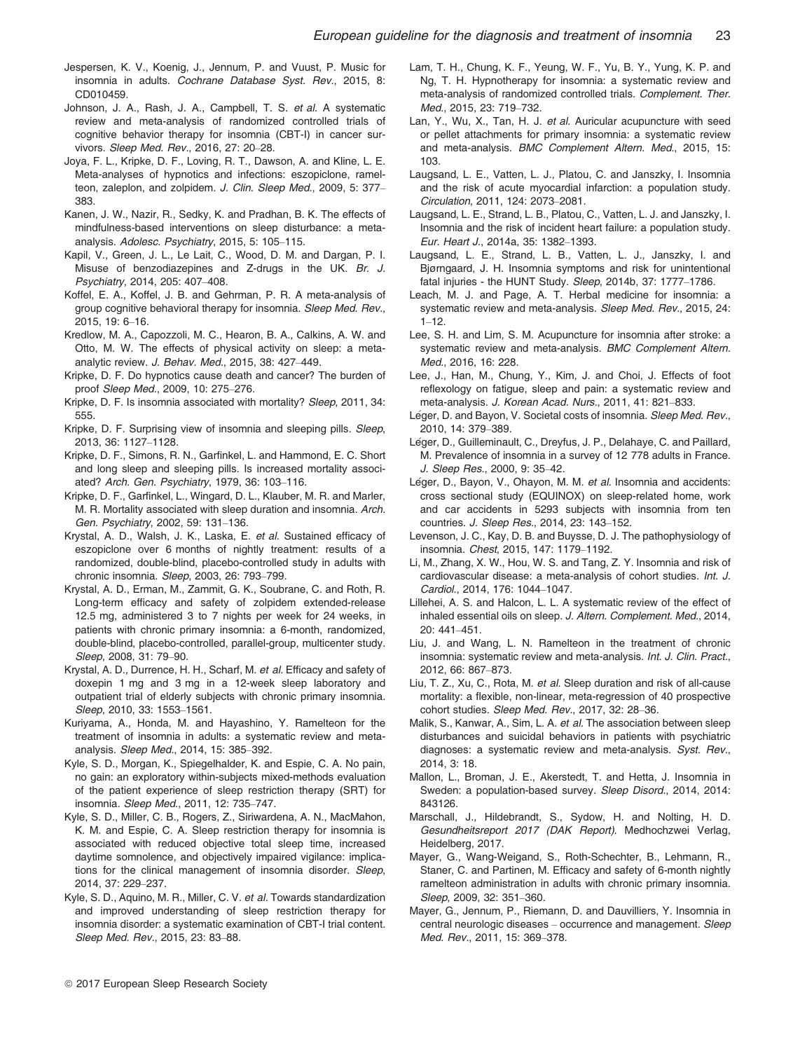- Jespersen, K. V., Koenig, J., Jennum, P. and Vuust, P. Music for insomnia in adults. Cochrane Database Syst. Rev., 2015, 8: CD010459.
- Johnson, J. A., Rash, J. A., Campbell, T. S. et al. A systematic review and meta-analysis of randomized controlled trials of cognitive behavior therapy for insomnia (CBT-I) in cancer survivors. Sleep Med. Rev., 2016, 27: 20–28.
- Joya, F. L., Kripke, D. F., Loving, R. T., Dawson, A. and Kline, L. E. Meta-analyses of hypnotics and infections: eszopiclone, ramelteon, zaleplon, and zolpidem. J. Clin. Sleep Med., 2009, 5: 377-383.
- Kanen, J. W., Nazir, R., Sedky, K. and Pradhan, B. K. The effects of mindfulness-based interventions on sleep disturbance: a metaanalysis. Adolesc. Psychiatry, 2015, 5: 105–115.
- Kapil, V., Green, J. L., Le Lait, C., Wood, D. M. and Dargan, P. I. Misuse of benzodiazepines and Z-drugs in the UK. Br. J. Psychiatry, 2014, 205: 407–408.
- Koffel, E. A., Koffel, J. B. and Gehrman, P. R. A meta-analysis of group cognitive behavioral therapy for insomnia. Sleep Med. Rev., 2015, 19: 6–16.
- Kredlow, M. A., Capozzoli, M. C., Hearon, B. A., Calkins, A. W. and Otto, M. W. The effects of physical activity on sleep: a metaanalytic review. J. Behav. Med., 2015, 38: 427–449.
- Kripke, D. F. Do hypnotics cause death and cancer? The burden of proof Sleep Med., 2009, 10: 275–276.
- Kripke, D. F. Is insomnia associated with mortality? Sleep, 2011, 34: 555.
- Kripke, D. F. Surprising view of insomnia and sleeping pills. Sleep, 2013, 36: 1127–1128.
- Kripke, D. F., Simons, R. N., Garfinkel, L. and Hammond, E. C. Short and long sleep and sleeping pills. Is increased mortality associated? Arch. Gen. Psychiatry, 1979, 36: 103–116.
- Kripke, D. F., Garfinkel, L., Wingard, D. L., Klauber, M. R. and Marler, M. R. Mortality associated with sleep duration and insomnia. Arch. Gen. Psychiatry, 2002, 59: 131–136.
- Krystal, A. D., Walsh, J. K., Laska, E. et al. Sustained efficacy of eszopiclone over 6 months of nightly treatment: results of a randomized, double-blind, placebo-controlled study in adults with chronic insomnia. Sleep, 2003, 26: 793–799.
- Krystal, A. D., Erman, M., Zammit, G. K., Soubrane, C. and Roth, R. Long-term efficacy and safety of zolpidem extended-release 12.5 mg, administered 3 to 7 nights per week for 24 weeks, in patients with chronic primary insomnia: a 6-month, randomized, double-blind, placebo-controlled, parallel-group, multicenter study. Sleep, 2008, 31: 79–90.
- Krystal, A. D., Durrence, H. H., Scharf, M. et al. Efficacy and safety of doxepin 1 mg and 3 mg in a 12-week sleep laboratory and outpatient trial of elderly subjects with chronic primary insomnia. Sleep, 2010, 33: 1553–1561.
- Kuriyama, A., Honda, M. and Hayashino, Y. Ramelteon for the treatment of insomnia in adults: a systematic review and metaanalysis. Sleep Med., 2014, 15: 385–392.
- Kyle, S. D., Morgan, K., Spiegelhalder, K. and Espie, C. A. No pain, no gain: an exploratory within-subjects mixed-methods evaluation of the patient experience of sleep restriction therapy (SRT) for insomnia. Sleep Med., 2011, 12: 735–747.
- Kyle, S. D., Miller, C. B., Rogers, Z., Siriwardena, A. N., MacMahon, K. M. and Espie, C. A. Sleep restriction therapy for insomnia is associated with reduced objective total sleep time, increased daytime somnolence, and objectively impaired vigilance: implications for the clinical management of insomnia disorder. Sleep, 2014, 37: 229–237.
- Kyle, S. D., Aquino, M. R., Miller, C. V. et al. Towards standardization and improved understanding of sleep restriction therapy for insomnia disorder: a systematic examination of CBT-I trial content. Sleep Med. Rev., 2015, 23: 83–88.
- Lam, T. H., Chung, K. F., Yeung, W. F., Yu, B. Y., Yung, K. P. and Ng, T. H. Hypnotherapy for insomnia: a systematic review and meta-analysis of randomized controlled trials. Complement. Ther. Med., 2015, 23: 719–732.
- Lan, Y., Wu, X., Tan, H. J. et al. Auricular acupuncture with seed or pellet attachments for primary insomnia: a systematic review and meta-analysis. BMC Complement Altern. Med., 2015, 15: 103.
- Laugsand, L. E., Vatten, L. J., Platou, C. and Janszky, I. Insomnia and the risk of acute myocardial infarction: a population study. Circulation, 2011, 124: 2073–2081.
- Laugsand, L. E., Strand, L. B., Platou, C., Vatten, L. J. and Janszky, I. Insomnia and the risk of incident heart failure: a population study. Eur. Heart J., 2014a, 35: 1382–1393.
- Laugsand, L. E., Strand, L. B., Vatten, L. J., Janszky, I. and Bjørngaard, J. H. Insomnia symptoms and risk for unintentional fatal injuries - the HUNT Study. Sleep, 2014b, 37: 1777–1786.
- Leach, M. J. and Page, A. T. Herbal medicine for insomnia: a systematic review and meta-analysis. Sleep Med. Rev., 2015, 24:  $1 - 12$ .
- Lee, S. H. and Lim, S. M. Acupuncture for insomnia after stroke: a systematic review and meta-analysis. BMC Complement Altern. Med., 2016, 16: 228.
- Lee, J., Han, M., Chung, Y., Kim, J. and Choi, J. Effects of foot reflexology on fatigue, sleep and pain: a systematic review and meta-analysis. J. Korean Acad. Nurs., 2011, 41: 821–833.
- Léger, D. and Bayon, V. Societal costs of insomnia. Sleep Med. Rev., 2010, 14: 379–389.
- Léger, D., Guilleminault, C., Dreyfus, J. P., Delahaye, C. and Paillard, M. Prevalence of insomnia in a survey of 12 778 adults in France. J. Sleep Res., 2000, 9: 35–42.
- Léger, D., Bayon, V., Ohayon, M. M. et al. Insomnia and accidents: cross sectional study (EQUINOX) on sleep-related home, work and car accidents in 5293 subjects with insomnia from ten countries. J. Sleep Res., 2014, 23: 143–152.
- Levenson, J. C., Kay, D. B. and Buysse, D. J. The pathophysiology of insomnia. Chest, 2015, 147: 1179–1192.
- Li, M., Zhang, X. W., Hou, W. S. and Tang, Z. Y. Insomnia and risk of cardiovascular disease: a meta-analysis of cohort studies. Int. J. Cardiol., 2014, 176: 1044–1047.
- Lillehei, A. S. and Halcon, L. L. A systematic review of the effect of inhaled essential oils on sleep. J. Altern. Complement. Med., 2014, 20: 441–451.
- Liu, J. and Wang, L. N. Ramelteon in the treatment of chronic insomnia: systematic review and meta-analysis. Int. J. Clin. Pract., 2012, 66: 867–873.
- Liu, T. Z., Xu, C., Rota, M. et al. Sleep duration and risk of all-cause mortality: a flexible, non-linear, meta-regression of 40 prospective cohort studies. Sleep Med. Rev., 2017, 32: 28–36.
- Malik, S., Kanwar, A., Sim, L. A. et al. The association between sleep disturbances and suicidal behaviors in patients with psychiatric diagnoses: a systematic review and meta-analysis. Syst. Rev., 2014, 3: 18.
- Mallon, L., Broman, J. E., Akerstedt, T. and Hetta, J. Insomnia in Sweden: a population-based survey. Sleep Disord., 2014, 2014: 843126.
- Marschall, J., Hildebrandt, S., Sydow, H. and Nolting, H. D. Gesundheitsreport 2017 (DAK Report). Medhochzwei Verlag, Heidelberg, 2017.
- Mayer, G., Wang-Weigand, S., Roth-Schechter, B., Lehmann, R., Staner, C. and Partinen, M. Efficacy and safety of 6-month nightly ramelteon administration in adults with chronic primary insomnia. Sleep, 2009, 32: 351–360.
- Mayer, G., Jennum, P., Riemann, D. and Dauvilliers, Y. Insomnia in central neurologic diseases – occurrence and management. Sleep Med. Rev., 2011, 15: 369–378.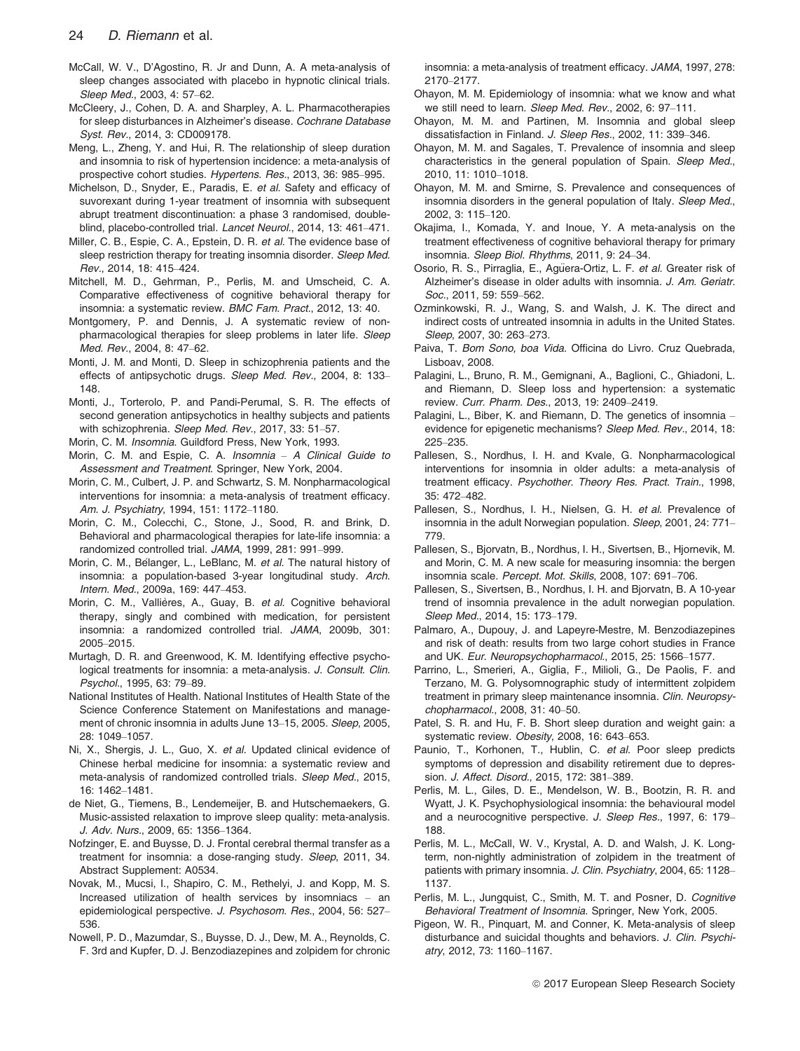- McCall, W. V., D'Agostino, R. Jr and Dunn, A. A meta-analysis of sleep changes associated with placebo in hypnotic clinical trials. Sleep Med., 2003, 4: 57–62.
- McCleery, J., Cohen, D. A. and Sharpley, A. L. Pharmacotherapies for sleep disturbances in Alzheimer's disease. Cochrane Database Syst. Rev., 2014, 3: CD009178.
- Meng, L., Zheng, Y. and Hui, R. The relationship of sleep duration and insomnia to risk of hypertension incidence: a meta-analysis of prospective cohort studies. Hypertens. Res., 2013, 36: 985–995.
- Michelson, D., Snyder, E., Paradis, E. et al. Safety and efficacy of suvorexant during 1-year treatment of insomnia with subsequent abrupt treatment discontinuation: a phase 3 randomised, doubleblind, placebo-controlled trial. Lancet Neurol., 2014, 13: 461–471.
- Miller, C. B., Espie, C. A., Epstein, D. R. et al. The evidence base of sleep restriction therapy for treating insomnia disorder. Sleep Med. Rev., 2014, 18: 415–424.
- Mitchell, M. D., Gehrman, P., Perlis, M. and Umscheid, C. A. Comparative effectiveness of cognitive behavioral therapy for insomnia: a systematic review. BMC Fam. Pract., 2012, 13: 40.
- Montgomery, P. and Dennis, J. A systematic review of nonpharmacological therapies for sleep problems in later life. Sleep Med. Rev., 2004, 8: 47–62.
- Monti, J. M. and Monti, D. Sleep in schizophrenia patients and the effects of antipsychotic drugs. Sleep Med. Rev., 2004, 8: 133– 148.
- Monti, J., Torterolo, P. and Pandi-Perumal, S. R. The effects of second generation antipsychotics in healthy subjects and patients with schizophrenia. Sleep Med. Rev., 2017, 33: 51–57.

Morin, C. M. Insomnia. Guildford Press, New York, 1993.

- Morin, C. M. and Espie, C. A. Insomnia A Clinical Guide to Assessment and Treatment. Springer, New York, 2004.
- Morin, C. M., Culbert, J. P. and Schwartz, S. M. Nonpharmacological interventions for insomnia: a meta-analysis of treatment efficacy. Am. J. Psychiatry, 1994, 151: 1172–1180.
- Morin, C. M., Colecchi, C., Stone, J., Sood, R. and Brink, D. Behavioral and pharmacological therapies for late-life insomnia: a randomized controlled trial. JAMA, 1999, 281: 991–999.
- Morin, C. M., Bélanger, L., LeBlanc, M. et al. The natural history of insomnia: a population-based 3-year longitudinal study. Arch. Intern. Med., 2009a, 169: 447–453.
- Morin, C. M., Vallières, A., Guay, B. et al. Cognitive behavioral therapy, singly and combined with medication, for persistent insomnia: a randomized controlled trial. JAMA, 2009b, 301: 2005–2015.
- Murtagh, D. R. and Greenwood, K. M. Identifying effective psychological treatments for insomnia: a meta-analysis. J. Consult. Clin. Psychol., 1995, 63: 79–89.
- National Institutes of Health. National Institutes of Health State of the Science Conference Statement on Manifestations and management of chronic insomnia in adults June 13–15, 2005. Sleep, 2005, 28: 1049–1057.
- Ni, X., Shergis, J. L., Guo, X. et al. Updated clinical evidence of Chinese herbal medicine for insomnia: a systematic review and meta-analysis of randomized controlled trials. Sleep Med., 2015, 16: 1462–1481.
- de Niet, G., Tiemens, B., Lendemeijer, B. and Hutschemaekers, G. Music-assisted relaxation to improve sleep quality: meta-analysis. J. Adv. Nurs., 2009, 65: 1356–1364.
- Nofzinger, E. and Buysse, D. J. Frontal cerebral thermal transfer as a treatment for insomnia: a dose-ranging study. Sleep, 2011, 34. Abstract Supplement: A0534.
- Novak, M., Mucsi, I., Shapiro, C. M., Rethelyi, J. and Kopp, M. S. Increased utilization of health services by insomniacs – an epidemiological perspective. J. Psychosom. Res., 2004, 56: 527– 536.
- Nowell, P. D., Mazumdar, S., Buysse, D. J., Dew, M. A., Reynolds, C. F. 3rd and Kupfer, D. J. Benzodiazepines and zolpidem for chronic

insomnia: a meta-analysis of treatment efficacy. JAMA, 1997, 278: 2170–2177.

- Ohayon, M. M. Epidemiology of insomnia: what we know and what we still need to learn. Sleep Med. Rev., 2002, 6: 97–111.
- Ohayon, M. M. and Partinen, M. Insomnia and global sleep dissatisfaction in Finland. J. Sleep Res., 2002, 11: 339–346.
- Ohayon, M. M. and Sagales, T. Prevalence of insomnia and sleep characteristics in the general population of Spain. Sleep Med., 2010, 11: 1010–1018.
- Ohayon, M. M. and Smirne, S. Prevalence and consequences of insomnia disorders in the general population of Italy. Sleep Med., 2002, 3: 115–120.
- Okajima, I., Komada, Y. and Inoue, Y. A meta-analysis on the treatment effectiveness of cognitive behavioral therapy for primary insomnia. Sleep Biol. Rhythms, 2011, 9: 24–34.
- Osorio, R. S., Pirraglia, E., Agüera-Ortiz, L. F. et al. Greater risk of Alzheimer's disease in older adults with insomnia. J. Am. Geriatr. Soc., 2011, 59: 559-562.
- Ozminkowski, R. J., Wang, S. and Walsh, J. K. The direct and indirect costs of untreated insomnia in adults in the United States. Sleep, 2007, 30: 263–273.
- Paiva, T. Bom Sono, boa Vida. Officina do Livro. Cruz Quebrada, Lisboav, 2008.
- Palagini, L., Bruno, R. M., Gemignani, A., Baglioni, C., Ghiadoni, L. and Riemann, D. Sleep loss and hypertension: a systematic review. Curr. Pharm. Des., 2013, 19: 2409–2419.
- Palagini, L., Biber, K. and Riemann, D. The genetics of insomnia evidence for epigenetic mechanisms? Sleep Med. Rev., 2014, 18: 225–235.
- Pallesen, S., Nordhus, I. H. and Kvale, G. Nonpharmacological interventions for insomnia in older adults: a meta-analysis of treatment efficacy. Psychother. Theory Res. Pract. Train., 1998, 35: 472–482.
- Pallesen, S., Nordhus, I. H., Nielsen, G. H. et al. Prevalence of insomnia in the adult Norwegian population. Sleep, 2001, 24: 771– 779.
- Pallesen, S., Bjorvatn, B., Nordhus, I. H., Sivertsen, B., Hjornevik, M. and Morin, C. M. A new scale for measuring insomnia: the bergen insomnia scale. Percept. Mot. Skills, 2008, 107: 691–706.
- Pallesen, S., Sivertsen, B., Nordhus, I. H. and Bjorvatn, B. A 10-year trend of insomnia prevalence in the adult norwegian population. Sleep Med., 2014, 15: 173–179.
- Palmaro, A., Dupouy, J. and Lapeyre-Mestre, M. Benzodiazepines and risk of death: results from two large cohort studies in France and UK. Eur. Neuropsychopharmacol., 2015, 25: 1566–1577.
- Parrino, L., Smerieri, A., Giglia, F., Milioli, G., De Paolis, F. and Terzano, M. G. Polysomnographic study of intermittent zolpidem treatment in primary sleep maintenance insomnia. Clin. Neuropsychopharmacol., 2008, 31: 40–50.
- Patel, S. R. and Hu, F. B. Short sleep duration and weight gain: a systematic review. Obesity, 2008, 16: 643–653.
- Paunio, T., Korhonen, T., Hublin, C. et al. Poor sleep predicts symptoms of depression and disability retirement due to depression. J. Affect. Disord., 2015, 172: 381–389.
- Perlis, M. L., Giles, D. E., Mendelson, W. B., Bootzin, R. R. and Wyatt, J. K. Psychophysiological insomnia: the behavioural model and a neurocognitive perspective. J. Sleep Res., 1997, 6: 179– 188.
- Perlis, M. L., McCall, W. V., Krystal, A. D. and Walsh, J. K. Longterm, non-nightly administration of zolpidem in the treatment of patients with primary insomnia. J. Clin. Psychiatry, 2004, 65: 1128-1137.
- Perlis, M. L., Jungquist, C., Smith, M. T. and Posner, D. Cognitive Behavioral Treatment of Insomnia. Springer, New York, 2005.
- Pigeon, W. R., Pinquart, M. and Conner, K. Meta-analysis of sleep disturbance and suicidal thoughts and behaviors. J. Clin. Psychiatry, 2012, 73: 1160–1167.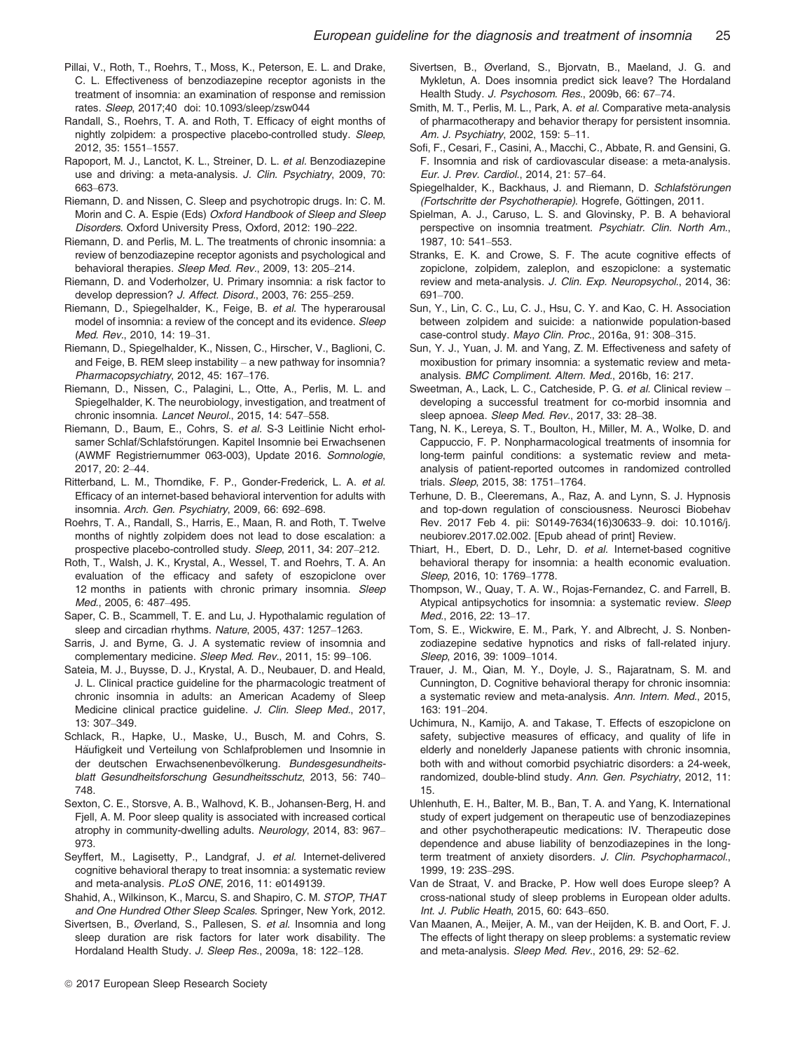- Pillai, V., Roth, T., Roehrs, T., Moss, K., Peterson, E. L. and Drake, C. L. Effectiveness of benzodiazepine receptor agonists in the treatment of insomnia: an examination of response and remission rates. Sleep, 2017;40 doi: [10.1093/sleep/zsw044](https://doi.org/10.1093/sleep/zsw044)
- Randall, S., Roehrs, T. A. and Roth, T. Efficacy of eight months of nightly zolpidem: a prospective placebo-controlled study. Sleep, 2012, 35: 1551–1557.
- Rapoport, M. J., Lanctot, K. L., Streiner, D. L. et al. Benzodiazepine use and driving: a meta-analysis. J. Clin. Psychiatry, 2009, 70: 663–673.
- Riemann, D. and Nissen, C. Sleep and psychotropic drugs. In: C. M. Morin and C. A. Espie (Eds) Oxford Handbook of Sleep and Sleep Disorders. Oxford University Press, Oxford, 2012: 190–222.
- Riemann, D. and Perlis, M. L. The treatments of chronic insomnia: a review of benzodiazepine receptor agonists and psychological and behavioral therapies. Sleep Med. Rev., 2009, 13: 205–214.
- Riemann, D. and Voderholzer, U. Primary insomnia: a risk factor to develop depression? J. Affect. Disord., 2003, 76: 255–259.
- Riemann, D., Spiegelhalder, K., Feige, B. et al. The hyperarousal model of insomnia: a review of the concept and its evidence. Sleep Med. Rev., 2010, 14: 19–31.
- Riemann, D., Spiegelhalder, K., Nissen, C., Hirscher, V., Baglioni, C. and Feige, B. REM sleep instability – a new pathway for insomnia? Pharmacopsychiatry, 2012, 45: 167–176.
- Riemann, D., Nissen, C., Palagini, L., Otte, A., Perlis, M. L. and Spiegelhalder, K. The neurobiology, investigation, and treatment of chronic insomnia. Lancet Neurol., 2015, 14: 547–558.
- Riemann, D., Baum, E., Cohrs, S. et al. S-3 Leitlinie Nicht erholsamer Schlaf/Schlafstörungen. Kapitel Insomnie bei Erwachsenen (AWMF Registriernummer 063-003), Update 2016. Somnologie, 2017, 20: 2–44.
- Ritterband, L. M., Thorndike, F. P., Gonder-Frederick, L. A. et al. Efficacy of an internet-based behavioral intervention for adults with insomnia. Arch. Gen. Psychiatry, 2009, 66: 692–698.
- Roehrs, T. A., Randall, S., Harris, E., Maan, R. and Roth, T. Twelve months of nightly zolpidem does not lead to dose escalation: a prospective placebo-controlled study. Sleep, 2011, 34: 207–212.
- Roth, T., Walsh, J. K., Krystal, A., Wessel, T. and Roehrs, T. A. An evaluation of the efficacy and safety of eszopiclone over 12 months in patients with chronic primary insomnia. Sleep Med., 2005, 6: 487–495.
- Saper, C. B., Scammell, T. E. and Lu, J. Hypothalamic regulation of sleep and circadian rhythms. Nature, 2005, 437: 1257–1263.
- Sarris, J. and Byrne, G. J. A systematic review of insomnia and complementary medicine. Sleep Med. Rev., 2011, 15: 99–106.
- Sateia, M. J., Buysse, D. J., Krystal, A. D., Neubauer, D. and Heald, J. L. Clinical practice guideline for the pharmacologic treatment of chronic insomnia in adults: an American Academy of Sleep Medicine clinical practice guideline. J. Clin. Sleep Med., 2017, 13: 307–349.
- Schlack, R., Hapke, U., Maske, U., Busch, M. and Cohrs, S. Häufigkeit und Verteilung von Schlafproblemen und Insomnie in der deutschen Erwachsenenbevölkerung. Bundesgesundheitsblatt Gesundheitsforschung Gesundheitsschutz, 2013, 56: 740– 748.
- Sexton, C. E., Storsve, A. B., Walhovd, K. B., Johansen-Berg, H. and Fjell, A. M. Poor sleep quality is associated with increased cortical atrophy in community-dwelling adults. Neurology, 2014, 83: 967– 973.
- Seyffert, M., Lagisetty, P., Landgraf, J. et al. Internet-delivered cognitive behavioral therapy to treat insomnia: a systematic review and meta-analysis. PLoS ONE, 2016, 11: e0149139.
- Shahid, A., Wilkinson, K., Marcu, S. and Shapiro, C. M. STOP, THAT and One Hundred Other Sleep Scales. Springer, New York, 2012.
- Sivertsen, B., Øverland, S., Pallesen, S. et al. Insomnia and long sleep duration are risk factors for later work disability. The Hordaland Health Study. J. Sleep Res., 2009a, 18: 122–128.
- Sivertsen, B., Øverland, S., Bjorvatn, B., Maeland, J. G. and Mykletun, A. Does insomnia predict sick leave? The Hordaland Health Study. J. Psychosom. Res., 2009b, 66: 67–74.
- Smith, M. T., Perlis, M. L., Park, A. et al. Comparative meta-analysis of pharmacotherapy and behavior therapy for persistent insomnia. Am. J. Psychiatry, 2002, 159: 5–11.
- Sofi, F., Cesari, F., Casini, A., Macchi, C., Abbate, R. and Gensini, G. F. Insomnia and risk of cardiovascular disease: a meta-analysis. Eur. J. Prev. Cardiol., 2014, 21: 57–64.
- Spiegelhalder, K., Backhaus, J. and Riemann, D. Schlafstörungen (Fortschritte der Psychotherapie). Hogrefe, Göttingen, 2011.
- Spielman, A. J., Caruso, L. S. and Glovinsky, P. B. A behavioral perspective on insomnia treatment. Psychiatr. Clin. North Am., 1987, 10: 541–553.
- Stranks, E. K. and Crowe, S. F. The acute cognitive effects of zopiclone, zolpidem, zaleplon, and eszopiclone: a systematic review and meta-analysis. J. Clin. Exp. Neuropsychol., 2014, 36: 691–700.
- Sun, Y., Lin, C. C., Lu, C. J., Hsu, C. Y. and Kao, C. H. Association between zolpidem and suicide: a nationwide population-based case-control study. Mayo Clin. Proc., 2016a, 91: 308–315.
- Sun, Y. J., Yuan, J. M. and Yang, Z. M. Effectiveness and safety of moxibustion for primary insomnia: a systematic review and metaanalysis. BMC Compliment. Altern. Med., 2016b, 16: 217.
- Sweetman, A., Lack, L. C., Catcheside, P. G. et al. Clinical review developing a successful treatment for co-morbid insomnia and sleep apnoea. Sleep Med. Rev., 2017, 33: 28–38.
- Tang, N. K., Lereya, S. T., Boulton, H., Miller, M. A., Wolke, D. and Cappuccio, F. P. Nonpharmacological treatments of insomnia for long-term painful conditions: a systematic review and metaanalysis of patient-reported outcomes in randomized controlled trials. Sleep, 2015, 38: 1751–1764.
- Terhune, D. B., Cleeremans, A., Raz, A. and Lynn, S. J. Hypnosis and top-down regulation of consciousness. Neurosci Biobehav Rev. 2017 Feb 4. pii: S0149-7634(16)30633–9. doi: [10.1016/j.](https://doi.org/10.1016/j.neubiorev.2017.02.002) [neubiorev.2017.02.002](https://doi.org/10.1016/j.neubiorev.2017.02.002). [Epub ahead of print] Review.
- Thiart, H., Ebert, D. D., Lehr, D. et al. Internet-based cognitive behavioral therapy for insomnia: a health economic evaluation. Sleep, 2016, 10: 1769–1778.
- Thompson, W., Quay, T. A. W., Rojas-Fernandez, C. and Farrell, B. Atypical antipsychotics for insomnia: a systematic review. Sleep Med., 2016, 22: 13–17.
- Tom, S. E., Wickwire, E. M., Park, Y. and Albrecht, J. S. Nonbenzodiazepine sedative hypnotics and risks of fall-related injury. Sleep, 2016, 39: 1009–1014.
- Trauer, J. M., Qian, M. Y., Doyle, J. S., Rajaratnam, S. M. and Cunnington, D. Cognitive behavioral therapy for chronic insomnia: a systematic review and meta-analysis. Ann. Intern. Med., 2015, 163: 191–204.
- Uchimura, N., Kamijo, A. and Takase, T. Effects of eszopiclone on safety, subjective measures of efficacy, and quality of life in elderly and nonelderly Japanese patients with chronic insomnia, both with and without comorbid psychiatric disorders: a 24-week, randomized, double-blind study. Ann. Gen. Psychiatry, 2012, 11: 15.
- Uhlenhuth, E. H., Balter, M. B., Ban, T. A. and Yang, K. International study of expert judgement on therapeutic use of benzodiazepines and other psychotherapeutic medications: IV. Therapeutic dose dependence and abuse liability of benzodiazepines in the longterm treatment of anxiety disorders. J. Clin. Psychopharmacol., 1999, 19: 23S–29S.
- Van de Straat, V. and Bracke, P. How well does Europe sleep? A cross-national study of sleep problems in European older adults. Int. J. Public Heath, 2015, 60: 643–650.
- Van Maanen, A., Meijer, A. M., van der Heijden, K. B. and Oort, F. J. The effects of light therapy on sleep problems: a systematic review and meta-analysis. Sleep Med. Rev., 2016, 29: 52–62.